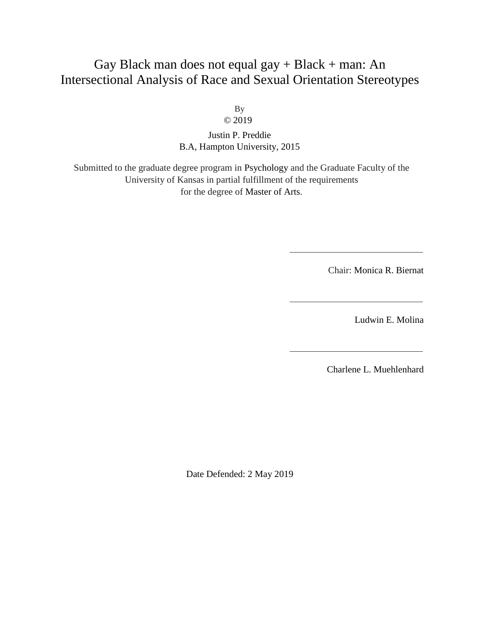# Gay Black man does not equal  $\text{gay} + \text{Black} + \text{man}$ : An Intersectional Analysis of Race and Sexual Orientation Stereotypes

By © 2019

Justin P. Preddie B.A, Hampton University, 2015

Submitted to the graduate degree program in Psychology and the Graduate Faculty of the University of Kansas in partial fulfillment of the requirements for the degree of Master of Arts.

Chair: Monica R. Biernat

Ludwin E. Molina

Charlene L. Muehlenhard

Date Defended: 2 May 2019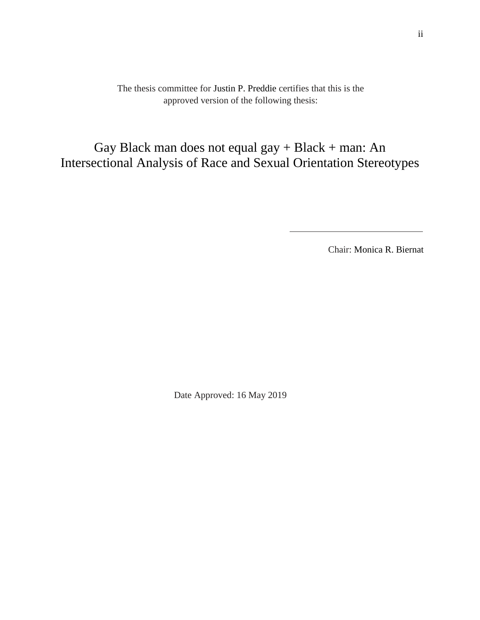The thesis committee for Justin P. Preddie certifies that this is the approved version of the following thesis:

Gay Black man does not equal gay + Black + man: An Intersectional Analysis of Race and Sexual Orientation Stereotypes

Chair: Monica R. Biernat

Date Approved: 16 May 2019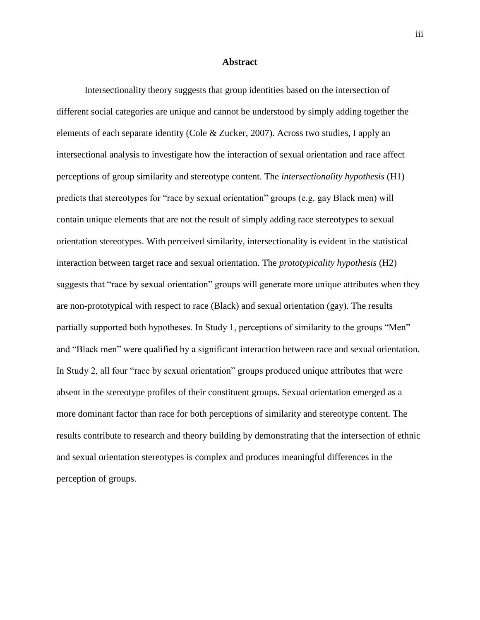## **Abstract**

Intersectionality theory suggests that group identities based on the intersection of different social categories are unique and cannot be understood by simply adding together the elements of each separate identity (Cole & Zucker, 2007). Across two studies, I apply an intersectional analysis to investigate how the interaction of sexual orientation and race affect perceptions of group similarity and stereotype content. The *intersectionality hypothesis* (H1) predicts that stereotypes for "race by sexual orientation" groups (e.g. gay Black men) will contain unique elements that are not the result of simply adding race stereotypes to sexual orientation stereotypes. With perceived similarity, intersectionality is evident in the statistical interaction between target race and sexual orientation. The *prototypicality hypothesis* (H2) suggests that "race by sexual orientation" groups will generate more unique attributes when they are non-prototypical with respect to race (Black) and sexual orientation (gay). The results partially supported both hypotheses. In Study 1, perceptions of similarity to the groups "Men" and "Black men" were qualified by a significant interaction between race and sexual orientation. In Study 2, all four "race by sexual orientation" groups produced unique attributes that were absent in the stereotype profiles of their constituent groups. Sexual orientation emerged as a more dominant factor than race for both perceptions of similarity and stereotype content. The results contribute to research and theory building by demonstrating that the intersection of ethnic and sexual orientation stereotypes is complex and produces meaningful differences in the perception of groups.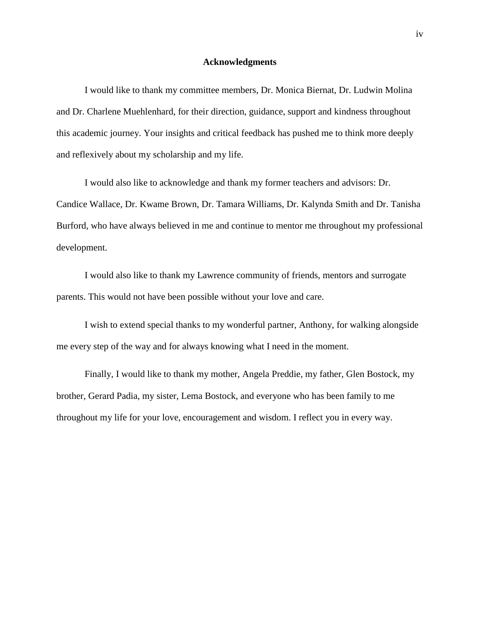## **Acknowledgments**

I would like to thank my committee members, Dr. Monica Biernat, Dr. Ludwin Molina and Dr. Charlene Muehlenhard, for their direction, guidance, support and kindness throughout this academic journey. Your insights and critical feedback has pushed me to think more deeply and reflexively about my scholarship and my life.

I would also like to acknowledge and thank my former teachers and advisors: Dr. Candice Wallace, Dr. Kwame Brown, Dr. Tamara Williams, Dr. Kalynda Smith and Dr. Tanisha Burford, who have always believed in me and continue to mentor me throughout my professional development.

I would also like to thank my Lawrence community of friends, mentors and surrogate parents. This would not have been possible without your love and care.

I wish to extend special thanks to my wonderful partner, Anthony, for walking alongside me every step of the way and for always knowing what I need in the moment.

Finally, I would like to thank my mother, Angela Preddie, my father, Glen Bostock, my brother, Gerard Padia, my sister, Lema Bostock, and everyone who has been family to me throughout my life for your love, encouragement and wisdom. I reflect you in every way.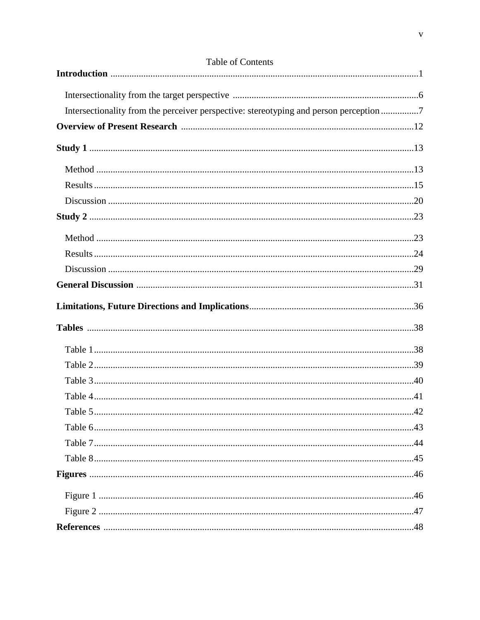| Intersectionality from the perceiver perspective: stereotyping and person perception7 |
|---------------------------------------------------------------------------------------|
|                                                                                       |
|                                                                                       |
|                                                                                       |
|                                                                                       |
|                                                                                       |
|                                                                                       |
|                                                                                       |
|                                                                                       |
|                                                                                       |
|                                                                                       |
|                                                                                       |
|                                                                                       |
|                                                                                       |
|                                                                                       |
|                                                                                       |
|                                                                                       |
|                                                                                       |
|                                                                                       |
|                                                                                       |
|                                                                                       |
|                                                                                       |
|                                                                                       |
|                                                                                       |
|                                                                                       |

## Table of Contents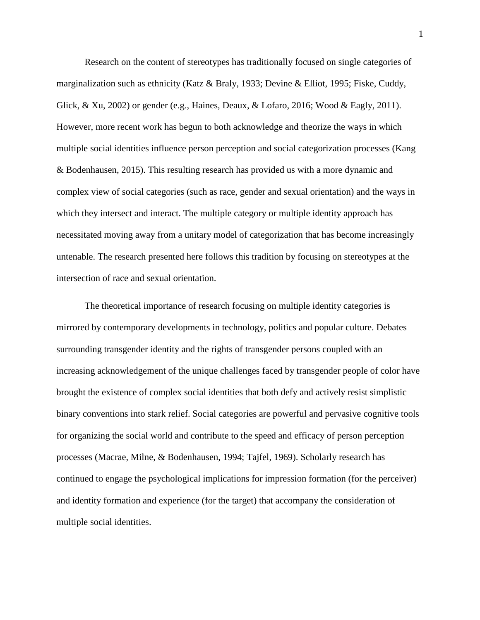Research on the content of stereotypes has traditionally focused on single categories of marginalization such as ethnicity (Katz & Braly, 1933; Devine & Elliot, 1995; Fiske, Cuddy, Glick,  $\&$  Xu, 2002) or gender (e.g., Haines, Deaux,  $\&$  Lofaro, 2016; Wood  $\&$  Eagly, 2011). However, more recent work has begun to both acknowledge and theorize the ways in which multiple social identities influence person perception and social categorization processes (Kang & Bodenhausen, 2015). This resulting research has provided us with a more dynamic and complex view of social categories (such as race, gender and sexual orientation) and the ways in which they intersect and interact. The multiple category or multiple identity approach has necessitated moving away from a unitary model of categorization that has become increasingly untenable. The research presented here follows this tradition by focusing on stereotypes at the intersection of race and sexual orientation.

The theoretical importance of research focusing on multiple identity categories is mirrored by contemporary developments in technology, politics and popular culture. Debates surrounding transgender identity and the rights of transgender persons coupled with an increasing acknowledgement of the unique challenges faced by transgender people of color have brought the existence of complex social identities that both defy and actively resist simplistic binary conventions into stark relief. Social categories are powerful and pervasive cognitive tools for organizing the social world and contribute to the speed and efficacy of person perception processes (Macrae, Milne, & Bodenhausen, 1994; Tajfel, 1969). Scholarly research has continued to engage the psychological implications for impression formation (for the perceiver) and identity formation and experience (for the target) that accompany the consideration of multiple social identities.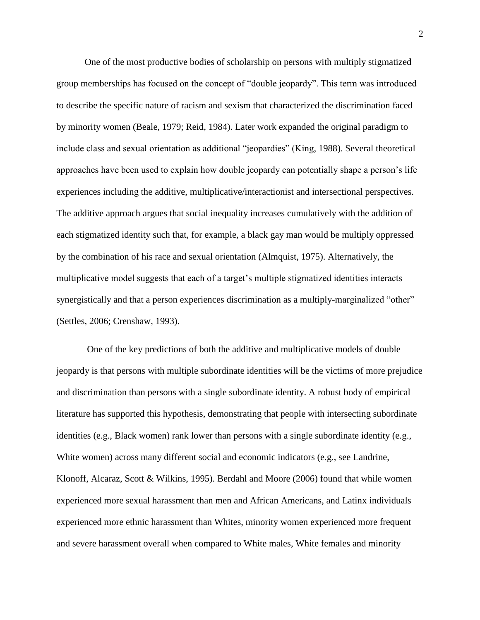One of the most productive bodies of scholarship on persons with multiply stigmatized group memberships has focused on the concept of "double jeopardy". This term was introduced to describe the specific nature of racism and sexism that characterized the discrimination faced by minority women (Beale, 1979; Reid, 1984). Later work expanded the original paradigm to include class and sexual orientation as additional "jeopardies" (King, 1988). Several theoretical approaches have been used to explain how double jeopardy can potentially shape a person's life experiences including the additive, multiplicative/interactionist and intersectional perspectives. The additive approach argues that social inequality increases cumulatively with the addition of each stigmatized identity such that, for example, a black gay man would be multiply oppressed by the combination of his race and sexual orientation (Almquist, 1975). Alternatively, the multiplicative model suggests that each of a target's multiple stigmatized identities interacts synergistically and that a person experiences discrimination as a multiply-marginalized "other" (Settles, 2006; Crenshaw, 1993).

One of the key predictions of both the additive and multiplicative models of double jeopardy is that persons with multiple subordinate identities will be the victims of more prejudice and discrimination than persons with a single subordinate identity. A robust body of empirical literature has supported this hypothesis, demonstrating that people with intersecting subordinate identities (e.g., Black women) rank lower than persons with a single subordinate identity (e.g., White women) across many different social and economic indicators (e.g., see Landrine, Klonoff, Alcaraz, Scott & Wilkins, 1995). Berdahl and Moore (2006) found that while women experienced more sexual harassment than men and African Americans, and Latinx individuals experienced more ethnic harassment than Whites, minority women experienced more frequent and severe harassment overall when compared to White males, White females and minority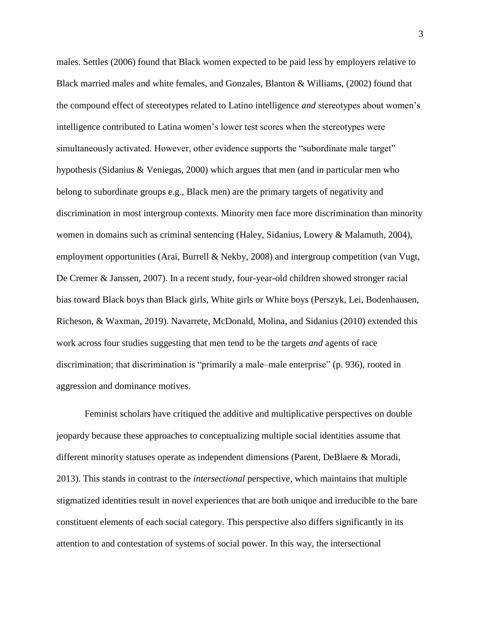males. Settles (2006) found that Black women expected to be paid less by employers relative to Black married males and white females, and Gonzales, Blanton & Williams, (2002) found that the compound effect of stereotypes related to Latino intelligence *and* stereotypes about women's intelligence contributed to Latina women's lower test scores when the stereotypes were simultaneously activated. However, other evidence supports the "subordinate male target" hypothesis (Sidanius & Veniegas, 2000) which argues that men (and in particular men who belong to subordinate groups e.g., Black men) are the primary targets of negativity and discrimination in most intergroup contexts. Minority men face more discrimination than minority women in domains such as criminal sentencing (Haley, Sidanius, Lowery & Malamuth, 2004), employment opportunities (Arai, Burrell & Nekby, 2008) and intergroup competition (van Vugt, De Cremer & Janssen, 2007). In a recent study, four-year-old children showed stronger racial bias toward Black boys than Black girls, White girls or White boys (Perszyk, Lei, Bodenhausen, Richeson, & Waxman, 2019). Navarrete, McDonald, Molina, and Sidanius (2010) extended this work across four studies suggesting that men tend to be the targets *and* agents of race discrimination; that discrimination is "primarily a male–male enterprise" (p. 936), rooted in aggression and dominance motives.

Feminist scholars have critiqued the additive and multiplicative perspectives on double jeopardy because these approaches to conceptualizing multiple social identities assume that different minority statuses operate as independent dimensions (Parent, DeBlaere & Moradi, 2013). This stands in contrast to the *intersectional* perspective, which maintains that multiple stigmatized identities result in novel experiences that are both unique and irreducible to the bare constituent elements of each social category. This perspective also differs significantly in its attention to and contestation of systems of social power. In this way, the intersectional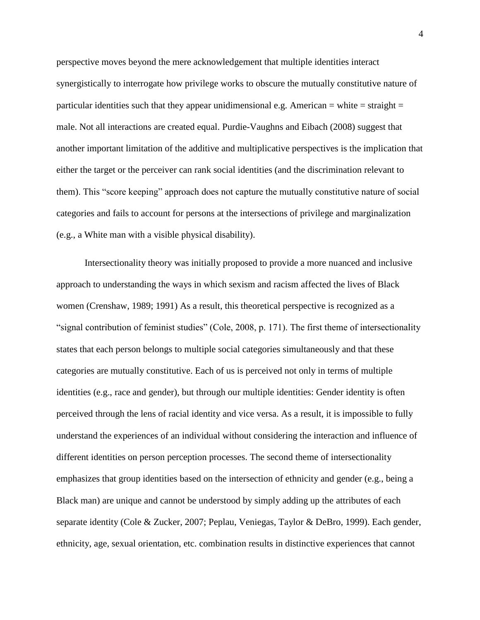perspective moves beyond the mere acknowledgement that multiple identities interact synergistically to interrogate how privilege works to obscure the mutually constitutive nature of particular identities such that they appear unidimensional e.g. American  $=$  white  $=$  straight  $=$ male. Not all interactions are created equal. Purdie-Vaughns and Eibach (2008) suggest that another important limitation of the additive and multiplicative perspectives is the implication that either the target or the perceiver can rank social identities (and the discrimination relevant to them). This "score keeping" approach does not capture the mutually constitutive nature of social categories and fails to account for persons at the intersections of privilege and marginalization (e.g., a White man with a visible physical disability).

Intersectionality theory was initially proposed to provide a more nuanced and inclusive approach to understanding the ways in which sexism and racism affected the lives of Black women (Crenshaw, 1989; 1991) As a result, this theoretical perspective is recognized as a "signal contribution of feminist studies" (Cole, 2008, p. 171). The first theme of intersectionality states that each person belongs to multiple social categories simultaneously and that these categories are mutually constitutive. Each of us is perceived not only in terms of multiple identities (e.g., race and gender), but through our multiple identities: Gender identity is often perceived through the lens of racial identity and vice versa. As a result, it is impossible to fully understand the experiences of an individual without considering the interaction and influence of different identities on person perception processes. The second theme of intersectionality emphasizes that group identities based on the intersection of ethnicity and gender (e.g., being a Black man) are unique and cannot be understood by simply adding up the attributes of each separate identity (Cole & Zucker, 2007; Peplau, Veniegas, Taylor & DeBro, 1999). Each gender, ethnicity, age, sexual orientation, etc. combination results in distinctive experiences that cannot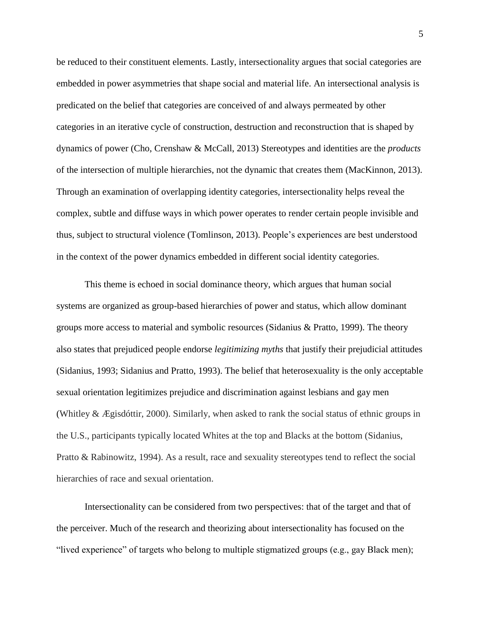be reduced to their constituent elements. Lastly, intersectionality argues that social categories are embedded in power asymmetries that shape social and material life. An intersectional analysis is predicated on the belief that categories are conceived of and always permeated by other categories in an iterative cycle of construction, destruction and reconstruction that is shaped by dynamics of power (Cho, Crenshaw & McCall, 2013) Stereotypes and identities are the *products* of the intersection of multiple hierarchies, not the dynamic that creates them (MacKinnon, 2013). Through an examination of overlapping identity categories, intersectionality helps reveal the complex, subtle and diffuse ways in which power operates to render certain people invisible and thus, subject to structural violence (Tomlinson, 2013). People's experiences are best understood in the context of the power dynamics embedded in different social identity categories.

This theme is echoed in social dominance theory, which argues that human social systems are organized as group-based hierarchies of power and status, which allow dominant groups more access to material and symbolic resources (Sidanius & Pratto, 1999). The theory also states that prejudiced people endorse *legitimizing myths* that justify their prejudicial attitudes (Sidanius, 1993; Sidanius and Pratto, 1993). The belief that heterosexuality is the only acceptable sexual orientation legitimizes prejudice and discrimination against lesbians and gay men (Whitley & Ægisdóttir, 2000). Similarly, when asked to rank the social status of ethnic groups in the U.S., participants typically located Whites at the top and Blacks at the bottom (Sidanius, Pratto & Rabinowitz, 1994). As a result, race and sexuality stereotypes tend to reflect the social hierarchies of race and sexual orientation.

Intersectionality can be considered from two perspectives: that of the target and that of the perceiver. Much of the research and theorizing about intersectionality has focused on the "lived experience" of targets who belong to multiple stigmatized groups (e.g., gay Black men);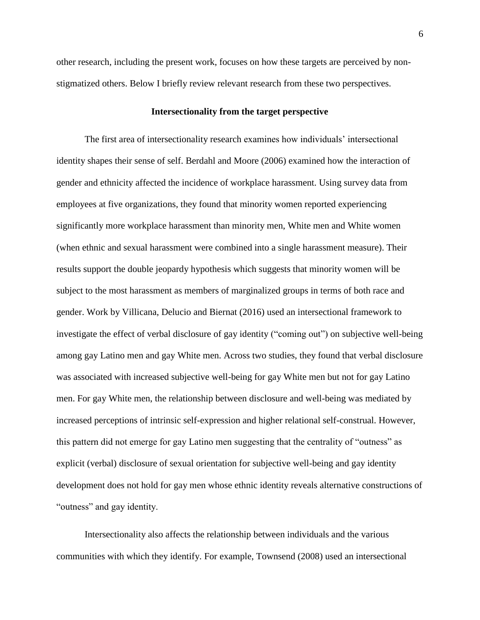other research, including the present work, focuses on how these targets are perceived by nonstigmatized others. Below I briefly review relevant research from these two perspectives.

## **Intersectionality from the target perspective**

The first area of intersectionality research examines how individuals' intersectional identity shapes their sense of self. Berdahl and Moore (2006) examined how the interaction of gender and ethnicity affected the incidence of workplace harassment. Using survey data from employees at five organizations, they found that minority women reported experiencing significantly more workplace harassment than minority men, White men and White women (when ethnic and sexual harassment were combined into a single harassment measure). Their results support the double jeopardy hypothesis which suggests that minority women will be subject to the most harassment as members of marginalized groups in terms of both race and gender. Work by Villicana, Delucio and Biernat (2016) used an intersectional framework to investigate the effect of verbal disclosure of gay identity ("coming out") on subjective well-being among gay Latino men and gay White men. Across two studies, they found that verbal disclosure was associated with increased subjective well-being for gay White men but not for gay Latino men. For gay White men, the relationship between disclosure and well-being was mediated by increased perceptions of intrinsic self-expression and higher relational self-construal. However, this pattern did not emerge for gay Latino men suggesting that the centrality of "outness" as explicit (verbal) disclosure of sexual orientation for subjective well-being and gay identity development does not hold for gay men whose ethnic identity reveals alternative constructions of "outness" and gay identity.

Intersectionality also affects the relationship between individuals and the various communities with which they identify. For example, Townsend (2008) used an intersectional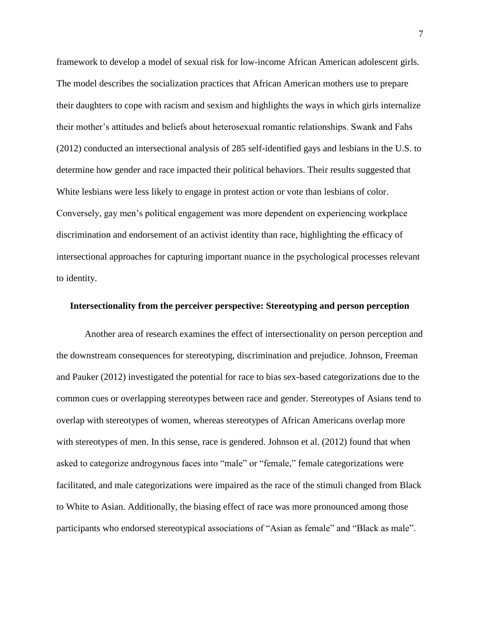framework to develop a model of sexual risk for low-income African American adolescent girls. The model describes the socialization practices that African American mothers use to prepare their daughters to cope with racism and sexism and highlights the ways in which girls internalize their mother's attitudes and beliefs about heterosexual romantic relationships. Swank and Fahs (2012) conducted an intersectional analysis of 285 self-identified gays and lesbians in the U.S. to determine how gender and race impacted their political behaviors. Their results suggested that White lesbians were less likely to engage in protest action or vote than lesbians of color. Conversely, gay men's political engagement was more dependent on experiencing workplace discrimination and endorsement of an activist identity than race, highlighting the efficacy of intersectional approaches for capturing important nuance in the psychological processes relevant to identity.

### **Intersectionality from the perceiver perspective: Stereotyping and person perception**

Another area of research examines the effect of intersectionality on person perception and the downstream consequences for stereotyping, discrimination and prejudice. Johnson, Freeman and Pauker (2012) investigated the potential for race to bias sex-based categorizations due to the common cues or overlapping stereotypes between race and gender. Stereotypes of Asians tend to overlap with stereotypes of women, whereas stereotypes of African Americans overlap more with stereotypes of men. In this sense, race is gendered. Johnson et al. (2012) found that when asked to categorize androgynous faces into "male" or "female," female categorizations were facilitated, and male categorizations were impaired as the race of the stimuli changed from Black to White to Asian. Additionally, the biasing effect of race was more pronounced among those participants who endorsed stereotypical associations of "Asian as female" and "Black as male".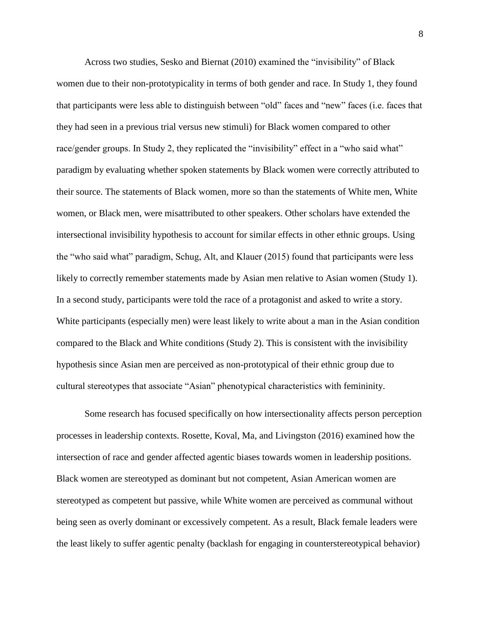Across two studies, Sesko and Biernat (2010) examined the "invisibility" of Black women due to their non-prototypicality in terms of both gender and race. In Study 1, they found that participants were less able to distinguish between "old" faces and "new" faces (i.e. faces that they had seen in a previous trial versus new stimuli) for Black women compared to other race/gender groups. In Study 2, they replicated the "invisibility" effect in a "who said what" paradigm by evaluating whether spoken statements by Black women were correctly attributed to their source. The statements of Black women, more so than the statements of White men, White women, or Black men, were misattributed to other speakers. Other scholars have extended the intersectional invisibility hypothesis to account for similar effects in other ethnic groups. Using the "who said what" paradigm, Schug, Alt, and Klauer (2015) found that participants were less likely to correctly remember statements made by Asian men relative to Asian women (Study 1). In a second study, participants were told the race of a protagonist and asked to write a story. White participants (especially men) were least likely to write about a man in the Asian condition compared to the Black and White conditions (Study 2). This is consistent with the invisibility hypothesis since Asian men are perceived as non-prototypical of their ethnic group due to cultural stereotypes that associate "Asian" phenotypical characteristics with femininity.

Some research has focused specifically on how intersectionality affects person perception processes in leadership contexts. Rosette, Koval, Ma, and Livingston (2016) examined how the intersection of race and gender affected agentic biases towards women in leadership positions. Black women are stereotyped as dominant but not competent, Asian American women are stereotyped as competent but passive, while White women are perceived as communal without being seen as overly dominant or excessively competent. As a result, Black female leaders were the least likely to suffer agentic penalty (backlash for engaging in counterstereotypical behavior)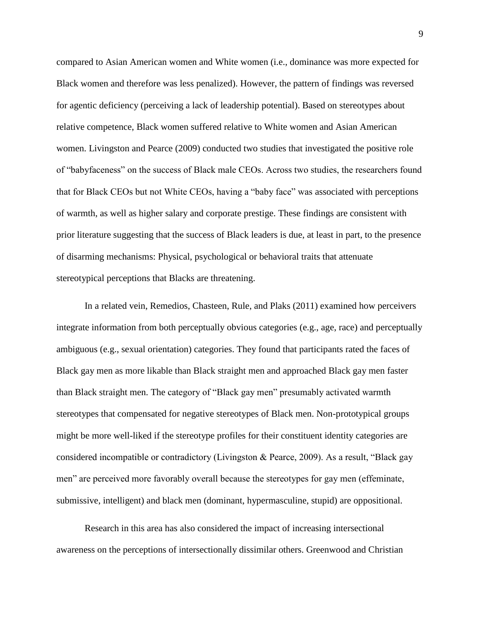compared to Asian American women and White women (i.e., dominance was more expected for Black women and therefore was less penalized). However, the pattern of findings was reversed for agentic deficiency (perceiving a lack of leadership potential). Based on stereotypes about relative competence, Black women suffered relative to White women and Asian American women. Livingston and Pearce (2009) conducted two studies that investigated the positive role of "babyfaceness" on the success of Black male CEOs. Across two studies, the researchers found that for Black CEOs but not White CEOs, having a "baby face" was associated with perceptions of warmth, as well as higher salary and corporate prestige. These findings are consistent with prior literature suggesting that the success of Black leaders is due, at least in part, to the presence of disarming mechanisms: Physical, psychological or behavioral traits that attenuate stereotypical perceptions that Blacks are threatening.

In a related vein, Remedios, Chasteen, Rule, and Plaks (2011) examined how perceivers integrate information from both perceptually obvious categories (e.g., age, race) and perceptually ambiguous (e.g., sexual orientation) categories. They found that participants rated the faces of Black gay men as more likable than Black straight men and approached Black gay men faster than Black straight men. The category of "Black gay men" presumably activated warmth stereotypes that compensated for negative stereotypes of Black men. Non-prototypical groups might be more well-liked if the stereotype profiles for their constituent identity categories are considered incompatible or contradictory (Livingston & Pearce, 2009). As a result, "Black gay men" are perceived more favorably overall because the stereotypes for gay men (effeminate, submissive, intelligent) and black men (dominant, hypermasculine, stupid) are oppositional.

Research in this area has also considered the impact of increasing intersectional awareness on the perceptions of intersectionally dissimilar others. Greenwood and Christian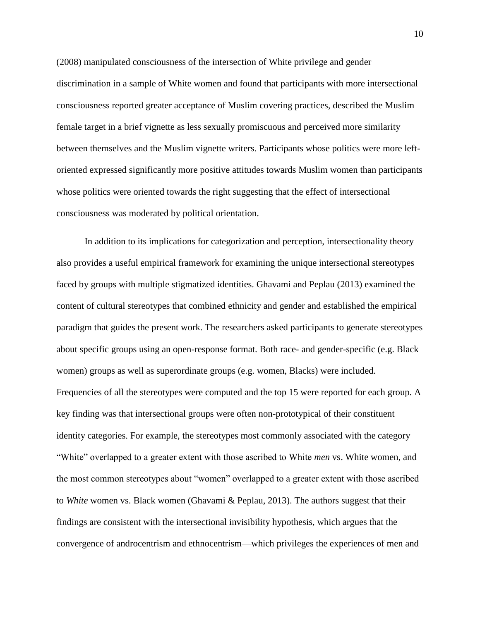(2008) manipulated consciousness of the intersection of White privilege and gender discrimination in a sample of White women and found that participants with more intersectional consciousness reported greater acceptance of Muslim covering practices, described the Muslim female target in a brief vignette as less sexually promiscuous and perceived more similarity between themselves and the Muslim vignette writers. Participants whose politics were more leftoriented expressed significantly more positive attitudes towards Muslim women than participants whose politics were oriented towards the right suggesting that the effect of intersectional consciousness was moderated by political orientation.

In addition to its implications for categorization and perception, intersectionality theory also provides a useful empirical framework for examining the unique intersectional stereotypes faced by groups with multiple stigmatized identities. Ghavami and Peplau (2013) examined the content of cultural stereotypes that combined ethnicity and gender and established the empirical paradigm that guides the present work. The researchers asked participants to generate stereotypes about specific groups using an open-response format. Both race- and gender-specific (e.g. Black women) groups as well as superordinate groups (e.g. women, Blacks) were included. Frequencies of all the stereotypes were computed and the top 15 were reported for each group. A key finding was that intersectional groups were often non-prototypical of their constituent identity categories. For example, the stereotypes most commonly associated with the category "White" overlapped to a greater extent with those ascribed to White *men* vs. White women, and the most common stereotypes about "women" overlapped to a greater extent with those ascribed to *White* women vs. Black women (Ghavami & Peplau, 2013). The authors suggest that their findings are consistent with the intersectional invisibility hypothesis, which argues that the convergence of androcentrism and ethnocentrism—which privileges the experiences of men and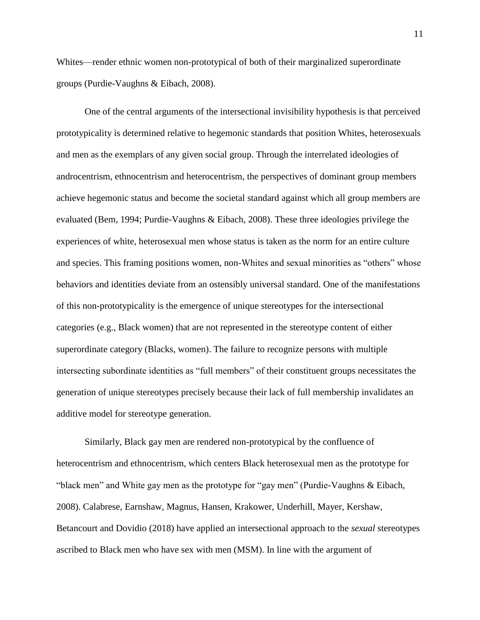Whites—render ethnic women non-prototypical of both of their marginalized superordinate groups (Purdie-Vaughns & Eibach, 2008).

One of the central arguments of the intersectional invisibility hypothesis is that perceived prototypicality is determined relative to hegemonic standards that position Whites, heterosexuals and men as the exemplars of any given social group. Through the interrelated ideologies of androcentrism, ethnocentrism and heterocentrism, the perspectives of dominant group members achieve hegemonic status and become the societal standard against which all group members are evaluated (Bem, 1994; Purdie-Vaughns & Eibach, 2008). These three ideologies privilege the experiences of white, heterosexual men whose status is taken as the norm for an entire culture and species. This framing positions women, non-Whites and sexual minorities as "others" whose behaviors and identities deviate from an ostensibly universal standard. One of the manifestations of this non-prototypicality is the emergence of unique stereotypes for the intersectional categories (e.g., Black women) that are not represented in the stereotype content of either superordinate category (Blacks, women). The failure to recognize persons with multiple intersecting subordinate identities as "full members" of their constituent groups necessitates the generation of unique stereotypes precisely because their lack of full membership invalidates an additive model for stereotype generation.

Similarly, Black gay men are rendered non-prototypical by the confluence of heterocentrism and ethnocentrism, which centers Black heterosexual men as the prototype for "black men" and White gay men as the prototype for "gay men" (Purdie-Vaughns & Eibach, 2008). Calabrese, Earnshaw, Magnus, Hansen, Krakower, Underhill, Mayer, Kershaw, Betancourt and Dovidio (2018) have applied an intersectional approach to the *sexual* stereotypes ascribed to Black men who have sex with men (MSM). In line with the argument of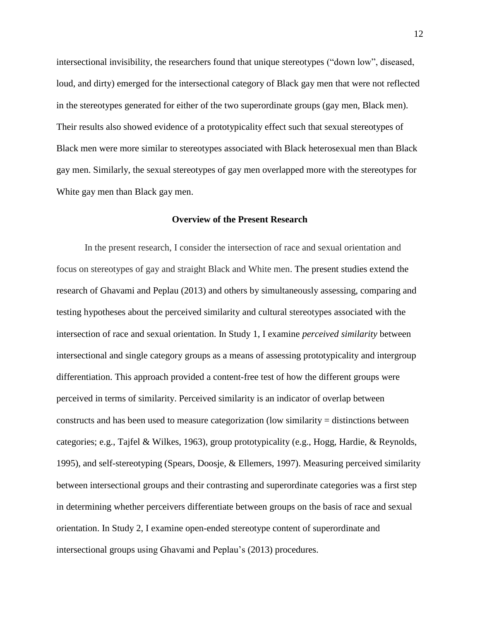intersectional invisibility, the researchers found that unique stereotypes ("down low", diseased, loud, and dirty) emerged for the intersectional category of Black gay men that were not reflected in the stereotypes generated for either of the two superordinate groups (gay men, Black men). Their results also showed evidence of a prototypicality effect such that sexual stereotypes of Black men were more similar to stereotypes associated with Black heterosexual men than Black gay men. Similarly, the sexual stereotypes of gay men overlapped more with the stereotypes for White gay men than Black gay men.

## **Overview of the Present Research**

In the present research, I consider the intersection of race and sexual orientation and focus on stereotypes of gay and straight Black and White men. The present studies extend the research of Ghavami and Peplau (2013) and others by simultaneously assessing, comparing and testing hypotheses about the perceived similarity and cultural stereotypes associated with the intersection of race and sexual orientation. In Study 1, I examine *perceived similarity* between intersectional and single category groups as a means of assessing prototypicality and intergroup differentiation. This approach provided a content-free test of how the different groups were perceived in terms of similarity. Perceived similarity is an indicator of overlap between constructs and has been used to measure categorization (low similarity = distinctions between categories; e.g., Tajfel & Wilkes, 1963), group prototypicality (e.g., Hogg, Hardie, & Reynolds, 1995), and self-stereotyping (Spears, Doosje, & Ellemers, 1997). Measuring perceived similarity between intersectional groups and their contrasting and superordinate categories was a first step in determining whether perceivers differentiate between groups on the basis of race and sexual orientation. In Study 2, I examine open-ended stereotype content of superordinate and intersectional groups using Ghavami and Peplau's (2013) procedures.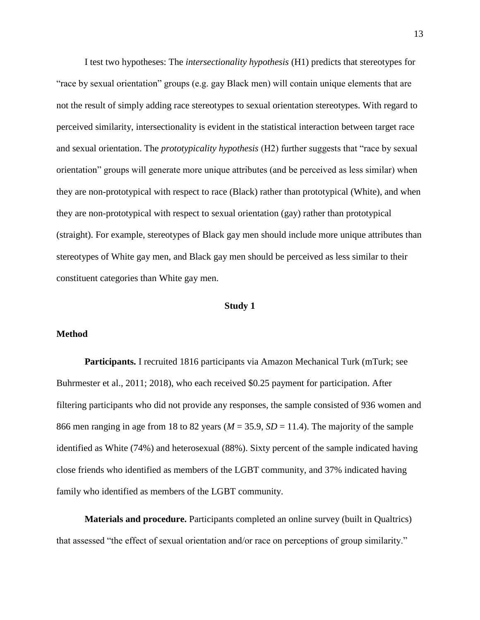I test two hypotheses: The *intersectionality hypothesis* (H1) predicts that stereotypes for "race by sexual orientation" groups (e.g. gay Black men) will contain unique elements that are not the result of simply adding race stereotypes to sexual orientation stereotypes. With regard to perceived similarity, intersectionality is evident in the statistical interaction between target race and sexual orientation. The *prototypicality hypothesis* (H2) further suggests that "race by sexual orientation" groups will generate more unique attributes (and be perceived as less similar) when they are non-prototypical with respect to race (Black) rather than prototypical (White), and when they are non-prototypical with respect to sexual orientation (gay) rather than prototypical (straight). For example, stereotypes of Black gay men should include more unique attributes than stereotypes of White gay men, and Black gay men should be perceived as less similar to their constituent categories than White gay men.

### **Study 1**

## **Method**

**Participants.** I recruited 1816 participants via Amazon Mechanical Turk (mTurk; see Buhrmester et al., 2011; 2018), who each received \$0.25 payment for participation. After filtering participants who did not provide any responses, the sample consisted of 936 women and 866 men ranging in age from 18 to 82 years ( $M = 35.9$ ,  $SD = 11.4$ ). The majority of the sample identified as White (74%) and heterosexual (88%). Sixty percent of the sample indicated having close friends who identified as members of the LGBT community, and 37% indicated having family who identified as members of the LGBT community.

**Materials and procedure.** Participants completed an online survey (built in Qualtrics) that assessed "the effect of sexual orientation and/or race on perceptions of group similarity."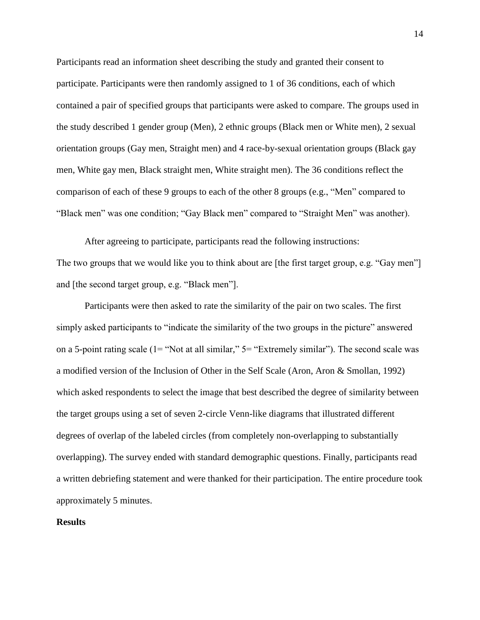Participants read an information sheet describing the study and granted their consent to participate. Participants were then randomly assigned to 1 of 36 conditions, each of which contained a pair of specified groups that participants were asked to compare. The groups used in the study described 1 gender group (Men), 2 ethnic groups (Black men or White men), 2 sexual orientation groups (Gay men, Straight men) and 4 race-by-sexual orientation groups (Black gay men, White gay men, Black straight men, White straight men). The 36 conditions reflect the comparison of each of these 9 groups to each of the other 8 groups (e.g., "Men" compared to "Black men" was one condition; "Gay Black men" compared to "Straight Men" was another).

After agreeing to participate, participants read the following instructions: The two groups that we would like you to think about are [the first target group, e.g. "Gay men"] and [the second target group, e.g. "Black men"].

Participants were then asked to rate the similarity of the pair on two scales. The first simply asked participants to "indicate the similarity of the two groups in the picture" answered on a 5-point rating scale (1= "Not at all similar," 5= "Extremely similar"). The second scale was a modified version of the Inclusion of Other in the Self Scale (Aron, Aron & Smollan, 1992) which asked respondents to select the image that best described the degree of similarity between the target groups using a set of seven 2-circle Venn-like diagrams that illustrated different degrees of overlap of the labeled circles (from completely non-overlapping to substantially overlapping). The survey ended with standard demographic questions. Finally, participants read a written debriefing statement and were thanked for their participation. The entire procedure took approximately 5 minutes.

## **Results**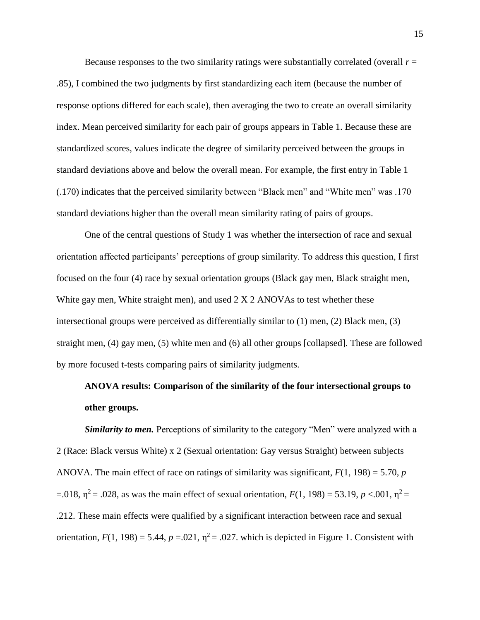Because responses to the two similarity ratings were substantially correlated (overall  $r =$ .85), I combined the two judgments by first standardizing each item (because the number of response options differed for each scale), then averaging the two to create an overall similarity index. Mean perceived similarity for each pair of groups appears in Table 1. Because these are standardized scores, values indicate the degree of similarity perceived between the groups in standard deviations above and below the overall mean. For example, the first entry in Table 1 (.170) indicates that the perceived similarity between "Black men" and "White men" was .170 standard deviations higher than the overall mean similarity rating of pairs of groups.

One of the central questions of Study 1 was whether the intersection of race and sexual orientation affected participants' perceptions of group similarity. To address this question, I first focused on the four (4) race by sexual orientation groups (Black gay men, Black straight men, White gay men, White straight men), and used  $2 \times 2$  ANOVAs to test whether these intersectional groups were perceived as differentially similar to (1) men, (2) Black men, (3) straight men, (4) gay men, (5) white men and (6) all other groups [collapsed]. These are followed by more focused t-tests comparing pairs of similarity judgments.

# **ANOVA results: Comparison of the similarity of the four intersectional groups to other groups.**

*Similarity to men.* Perceptions of similarity to the category "Men" were analyzed with a 2 (Race: Black versus White) x 2 (Sexual orientation: Gay versus Straight) between subjects ANOVA. The main effect of race on ratings of similarity was significant, *F*(1, 198) = 5.70, *p* =.018,  $η^2$  = .028, as was the main effect of sexual orientation,  $F(1, 198)$  = 53.19,  $p < .001$ ,  $η^2$  = .212. These main effects were qualified by a significant interaction between race and sexual orientation,  $F(1, 198) = 5.44$ ,  $p = .021$ ,  $\eta^2 = .027$ . which is depicted in Figure 1. Consistent with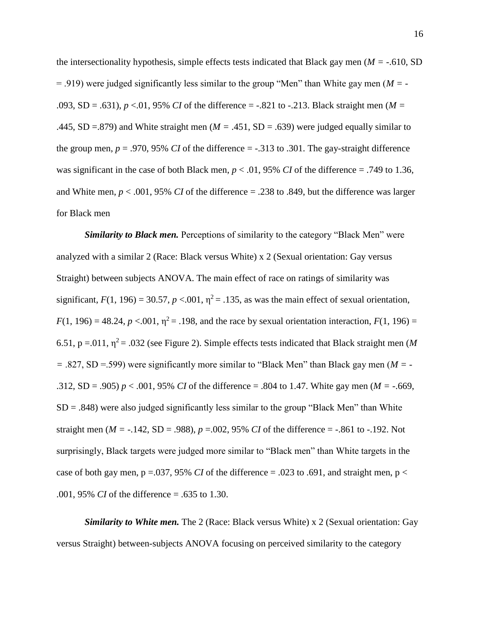the intersectionality hypothesis, simple effects tests indicated that Black gay men (*M =* -.610, SD = .919) were judged significantly less similar to the group "Men" than White gay men (*M =* - .093, SD = .631),  $p < 0.01$ , 95% *CI* of the difference = -.821 to -.213. Black straight men (*M* = .445, SD =.879) and White straight men (*M =* .451, SD = .639) were judged equally similar to the group men,  $p = .970$ , 95% *CI* of the difference =  $-.313$  to .301. The gay-straight difference was significant in the case of both Black men,  $p < .01$ , 95% *CI* of the difference = .749 to 1.36, and White men,  $p < .001$ , 95% *CI* of the difference  $= .238$  to .849, but the difference was larger for Black men

*Similarity to Black men.* Perceptions of similarity to the category "Black Men" were analyzed with a similar 2 (Race: Black versus White) x 2 (Sexual orientation: Gay versus Straight) between subjects ANOVA. The main effect of race on ratings of similarity was significant,  $F(1, 196) = 30.57$ ,  $p < 0.01$ ,  $\eta^2 = 0.135$ , as was the main effect of sexual orientation,  $F(1, 196) = 48.24$ ,  $p < .001$ ,  $\eta^2 = .198$ , and the race by sexual orientation interaction,  $F(1, 196) =$ 6.51,  $p = 0.011$ ,  $\eta^2 = 0.032$  (see Figure 2). Simple effects tests indicated that Black straight men (*M =* .827, SD =.599) were significantly more similar to "Black Men" than Black gay men (*M =* - .312, SD = .905) *p* < .001, 95% *CI* of the difference = .804 to 1.47. White gay men (*M =* -.669,  $SD = .848$ ) were also judged significantly less similar to the group "Black Men" than White straight men ( $M = -0.142$ , SD = .988),  $p = 0.002$ , 95% *CI* of the difference =  $-0.861$  to  $-0.192$ . Not surprisingly, Black targets were judged more similar to "Black men" than White targets in the case of both gay men,  $p = 0.037$ , 95% *CI* of the difference = .023 to .691, and straight men,  $p <$ .001, 95% *CI* of the difference = .635 to 1.30.

*Similarity to White men.* The 2 (Race: Black versus White) x 2 (Sexual orientation: Gay versus Straight) between-subjects ANOVA focusing on perceived similarity to the category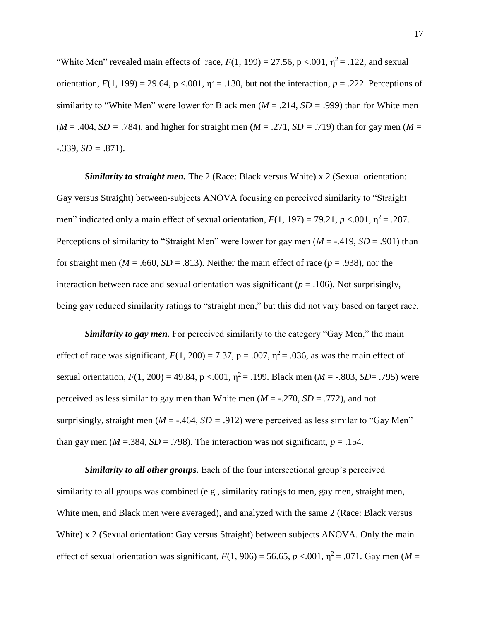"White Men" revealed main effects of race,  $F(1, 199) = 27.56$ ,  $p < .001$ ,  $\eta^2 = .122$ , and sexual orientation,  $F(1, 199) = 29.64$ ,  $p < .001$ ,  $\eta^2 = .130$ , but not the interaction,  $p = .222$ . Perceptions of similarity to "White Men" were lower for Black men (*M* = .214, *SD =* .999) than for White men  $(M = .404, SD = .784)$ , and higher for straight men  $(M = .271, SD = .719)$  than for gay men  $(M = .271, SD = .719)$  $-0.339, SD = 0.871$ .

*Similarity to straight men.* The 2 (Race: Black versus White) x 2 (Sexual orientation: Gay versus Straight) between-subjects ANOVA focusing on perceived similarity to "Straight men" indicated only a main effect of sexual orientation,  $F(1, 197) = 79.21$ ,  $p < .001$ ,  $\eta^2 = .287$ . Perceptions of similarity to "Straight Men" were lower for gay men (*M* = -.419, *SD* = .901) than for straight men ( $M = .660$ ,  $SD = .813$ ). Neither the main effect of race ( $p = .938$ ), nor the interaction between race and sexual orientation was significant ( $p = .106$ ). Not surprisingly, being gay reduced similarity ratings to "straight men," but this did not vary based on target race.

*Similarity to gay men.* For perceived similarity to the category "Gay Men," the main effect of race was significant,  $F(1, 200) = 7.37$ ,  $p = .007$ ,  $\eta^2 = .036$ , as was the main effect of sexual orientation,  $F(1, 200) = 49.84$ ,  $p < .001$ ,  $\eta^2 = .199$ . Black men ( $M = -.803$ ,  $SD = .795$ ) were perceived as less similar to gay men than White men  $(M = -.270, SD = .772)$ , and not surprisingly, straight men ( $M = -0.464$ ,  $SD = 0.912$ ) were perceived as less similar to "Gay Men" than gay men ( $M = 0.384$ ,  $SD = 0.798$ ). The interaction was not significant,  $p = 0.154$ .

*Similarity to all other groups.* Each of the four intersectional group's perceived similarity to all groups was combined (e.g., similarity ratings to men, gay men, straight men, White men, and Black men were averaged), and analyzed with the same 2 (Race: Black versus White) x 2 (Sexual orientation: Gay versus Straight) between subjects ANOVA. Only the main effect of sexual orientation was significant,  $F(1, 906) = 56.65$ ,  $p < .001$ ,  $\eta^2 = .071$ . Gay men (*M* =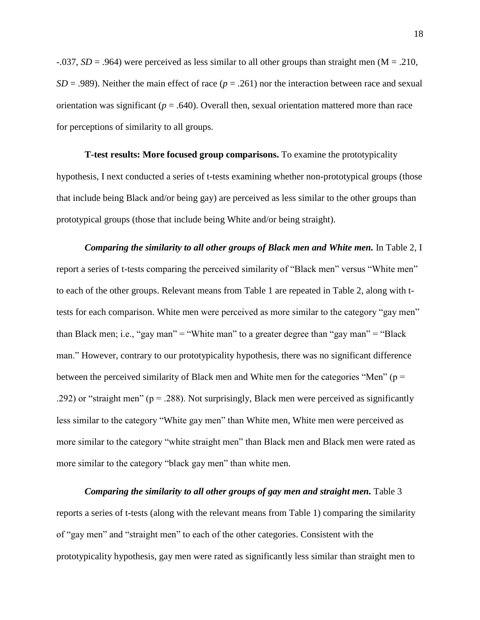$-0.037$ ,  $SD = 0.964$ ) were perceived as less similar to all other groups than straight men (M = .210, *SD* = .989). Neither the main effect of race (*p* = .261) nor the interaction between race and sexual orientation was significant  $(p = .640)$ . Overall then, sexual orientation mattered more than race for perceptions of similarity to all groups.

**T-test results: More focused group comparisons.** To examine the prototypicality hypothesis, I next conducted a series of t-tests examining whether non-prototypical groups (those that include being Black and/or being gay) are perceived as less similar to the other groups than prototypical groups (those that include being White and/or being straight).

*Comparing the similarity to all other groups of Black men and White men.* In Table 2, I report a series of t-tests comparing the perceived similarity of "Black men" versus "White men" to each of the other groups. Relevant means from Table 1 are repeated in Table 2, along with ttests for each comparison. White men were perceived as more similar to the category "gay men" than Black men; i.e., "gay man" = "White man" to a greater degree than "gay man" = "Black" man." However, contrary to our prototypicality hypothesis, there was no significant difference between the perceived similarity of Black men and White men for the categories "Men" ( $p =$ .292) or "straight men" ( $p = 0.288$ ). Not surprisingly, Black men were perceived as significantly less similar to the category "White gay men" than White men, White men were perceived as more similar to the category "white straight men" than Black men and Black men were rated as more similar to the category "black gay men" than white men.

*Comparing the similarity to all other groups of gay men and straight men.* Table 3 reports a series of t-tests (along with the relevant means from Table 1) comparing the similarity of "gay men" and "straight men" to each of the other categories. Consistent with the prototypicality hypothesis, gay men were rated as significantly less similar than straight men to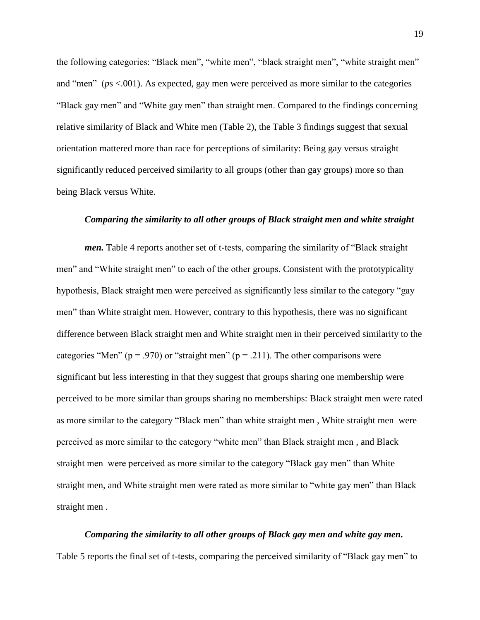the following categories: "Black men", "white men", "black straight men", "white straight men" and "men" (*p*s <.001). As expected, gay men were perceived as more similar to the categories "Black gay men" and "White gay men" than straight men. Compared to the findings concerning relative similarity of Black and White men (Table 2), the Table 3 findings suggest that sexual orientation mattered more than race for perceptions of similarity: Being gay versus straight significantly reduced perceived similarity to all groups (other than gay groups) more so than being Black versus White.

## *Comparing the similarity to all other groups of Black straight men and white straight*

*men.* Table 4 reports another set of t-tests, comparing the similarity of "Black straight men" and "White straight men" to each of the other groups. Consistent with the prototypicality hypothesis, Black straight men were perceived as significantly less similar to the category "gay men" than White straight men. However, contrary to this hypothesis, there was no significant difference between Black straight men and White straight men in their perceived similarity to the categories "Men" ( $p = .970$ ) or "straight men" ( $p = .211$ ). The other comparisons were significant but less interesting in that they suggest that groups sharing one membership were perceived to be more similar than groups sharing no memberships: Black straight men were rated as more similar to the category "Black men" than white straight men , White straight men were perceived as more similar to the category "white men" than Black straight men , and Black straight men were perceived as more similar to the category "Black gay men" than White straight men, and White straight men were rated as more similar to "white gay men" than Black straight men .

## *Comparing the similarity to all other groups of Black gay men and white gay men.*

Table 5 reports the final set of t-tests, comparing the perceived similarity of "Black gay men" to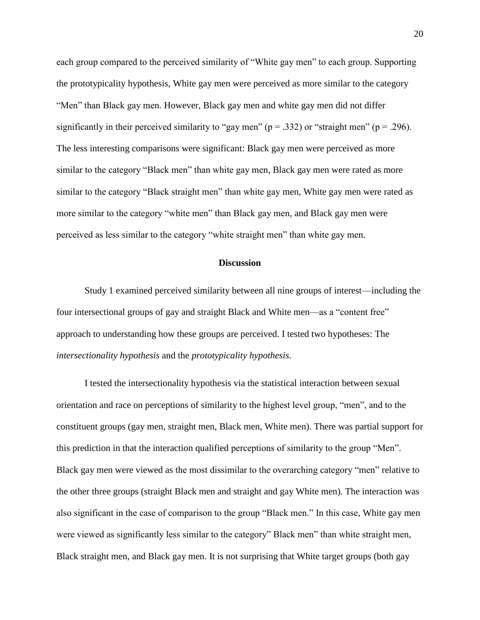each group compared to the perceived similarity of "White gay men" to each group. Supporting the prototypicality hypothesis, White gay men were perceived as more similar to the category "Men" than Black gay men. However, Black gay men and white gay men did not differ significantly in their perceived similarity to "gay men" ( $p = .332$ ) or "straight men" ( $p = .296$ ). The less interesting comparisons were significant: Black gay men were perceived as more similar to the category "Black men" than white gay men, Black gay men were rated as more similar to the category "Black straight men" than white gay men, White gay men were rated as more similar to the category "white men" than Black gay men, and Black gay men were perceived as less similar to the category "white straight men" than white gay men.

## **Discussion**

Study 1 examined perceived similarity between all nine groups of interest—including the four intersectional groups of gay and straight Black and White men—as a "content free" approach to understanding how these groups are perceived. I tested two hypotheses: The *intersectionality hypothesis* and the *prototypicality hypothesis.*

I tested the intersectionality hypothesis via the statistical interaction between sexual orientation and race on perceptions of similarity to the highest level group, "men", and to the constituent groups (gay men, straight men, Black men, White men). There was partial support for this prediction in that the interaction qualified perceptions of similarity to the group "Men". Black gay men were viewed as the most dissimilar to the overarching category "men" relative to the other three groups (straight Black men and straight and gay White men). The interaction was also significant in the case of comparison to the group "Black men." In this case, White gay men were viewed as significantly less similar to the category" Black men" than white straight men, Black straight men, and Black gay men. It is not surprising that White target groups (both gay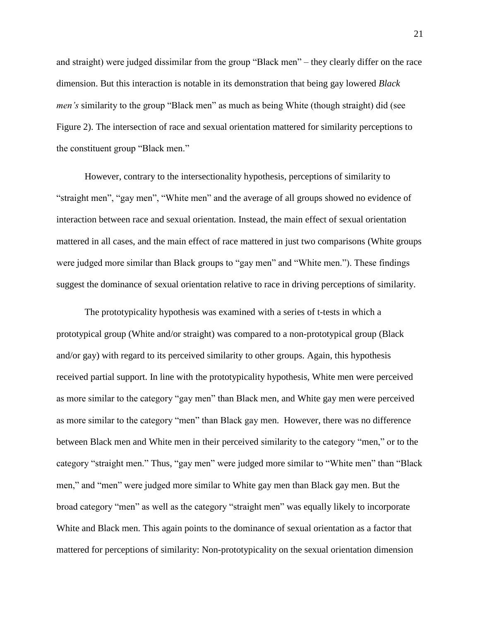and straight) were judged dissimilar from the group "Black men" – they clearly differ on the race dimension. But this interaction is notable in its demonstration that being gay lowered *Black men's* similarity to the group "Black men" as much as being White (though straight) did (see Figure 2). The intersection of race and sexual orientation mattered for similarity perceptions to the constituent group "Black men."

However, contrary to the intersectionality hypothesis, perceptions of similarity to "straight men", "gay men", "White men" and the average of all groups showed no evidence of interaction between race and sexual orientation. Instead, the main effect of sexual orientation mattered in all cases, and the main effect of race mattered in just two comparisons (White groups were judged more similar than Black groups to "gay men" and "White men."). These findings suggest the dominance of sexual orientation relative to race in driving perceptions of similarity.

The prototypicality hypothesis was examined with a series of t-tests in which a prototypical group (White and/or straight) was compared to a non-prototypical group (Black and/or gay) with regard to its perceived similarity to other groups. Again, this hypothesis received partial support. In line with the prototypicality hypothesis, White men were perceived as more similar to the category "gay men" than Black men, and White gay men were perceived as more similar to the category "men" than Black gay men. However, there was no difference between Black men and White men in their perceived similarity to the category "men," or to the category "straight men." Thus, "gay men" were judged more similar to "White men" than "Black men," and "men" were judged more similar to White gay men than Black gay men. But the broad category "men" as well as the category "straight men" was equally likely to incorporate White and Black men. This again points to the dominance of sexual orientation as a factor that mattered for perceptions of similarity: Non-prototypicality on the sexual orientation dimension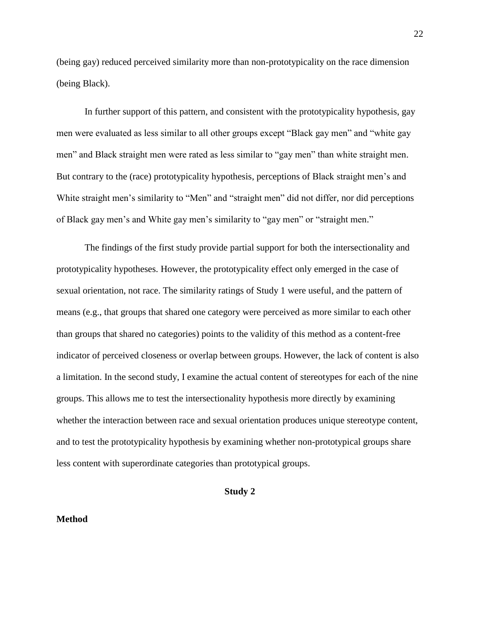(being gay) reduced perceived similarity more than non-prototypicality on the race dimension (being Black).

In further support of this pattern, and consistent with the prototypicality hypothesis, gay men were evaluated as less similar to all other groups except "Black gay men" and "white gay men" and Black straight men were rated as less similar to "gay men" than white straight men. But contrary to the (race) prototypicality hypothesis, perceptions of Black straight men's and White straight men's similarity to "Men" and "straight men" did not differ, nor did perceptions of Black gay men's and White gay men's similarity to "gay men" or "straight men."

The findings of the first study provide partial support for both the intersectionality and prototypicality hypotheses. However, the prototypicality effect only emerged in the case of sexual orientation, not race. The similarity ratings of Study 1 were useful, and the pattern of means (e.g., that groups that shared one category were perceived as more similar to each other than groups that shared no categories) points to the validity of this method as a content-free indicator of perceived closeness or overlap between groups. However, the lack of content is also a limitation. In the second study, I examine the actual content of stereotypes for each of the nine groups. This allows me to test the intersectionality hypothesis more directly by examining whether the interaction between race and sexual orientation produces unique stereotype content, and to test the prototypicality hypothesis by examining whether non-prototypical groups share less content with superordinate categories than prototypical groups.

## **Study 2**

#### **Method**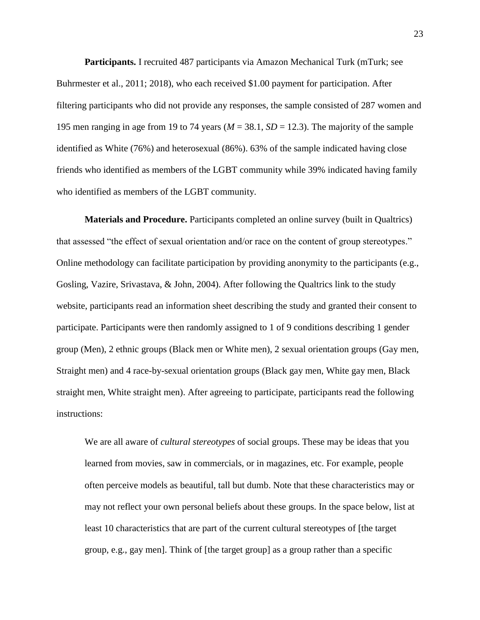**Participants.** I recruited 487 participants via Amazon Mechanical Turk (mTurk; see Buhrmester et al., 2011; 2018), who each received \$1.00 payment for participation. After filtering participants who did not provide any responses, the sample consisted of 287 women and 195 men ranging in age from 19 to 74 years ( $M = 38.1$ ,  $SD = 12.3$ ). The majority of the sample identified as White (76%) and heterosexual (86%). 63% of the sample indicated having close friends who identified as members of the LGBT community while 39% indicated having family who identified as members of the LGBT community.

**Materials and Procedure.** Participants completed an online survey (built in Qualtrics) that assessed "the effect of sexual orientation and/or race on the content of group stereotypes." Online methodology can facilitate participation by providing anonymity to the participants (e.g., Gosling, Vazire, Srivastava, & John, 2004). After following the Qualtrics link to the study website, participants read an information sheet describing the study and granted their consent to participate. Participants were then randomly assigned to 1 of 9 conditions describing 1 gender group (Men), 2 ethnic groups (Black men or White men), 2 sexual orientation groups (Gay men, Straight men) and 4 race-by-sexual orientation groups (Black gay men, White gay men, Black straight men, White straight men). After agreeing to participate, participants read the following instructions:

We are all aware of *cultural stereotypes* of social groups. These may be ideas that you learned from movies, saw in commercials, or in magazines, etc. For example, people often perceive models as beautiful, tall but dumb. Note that these characteristics may or may not reflect your own personal beliefs about these groups. In the space below, list at least 10 characteristics that are part of the current cultural stereotypes of [the target group, e.g., gay men]. Think of [the target group] as a group rather than a specific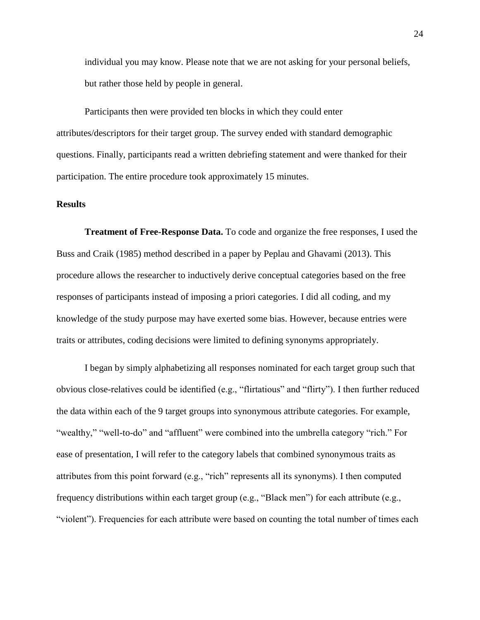individual you may know. Please note that we are not asking for your personal beliefs, but rather those held by people in general.

Participants then were provided ten blocks in which they could enter attributes/descriptors for their target group. The survey ended with standard demographic questions. Finally, participants read a written debriefing statement and were thanked for their participation. The entire procedure took approximately 15 minutes.

## **Results**

**Treatment of Free-Response Data.** To code and organize the free responses, I used the Buss and Craik (1985) method described in a paper by Peplau and Ghavami (2013). This procedure allows the researcher to inductively derive conceptual categories based on the free responses of participants instead of imposing a priori categories. I did all coding, and my knowledge of the study purpose may have exerted some bias. However, because entries were traits or attributes, coding decisions were limited to defining synonyms appropriately.

I began by simply alphabetizing all responses nominated for each target group such that obvious close-relatives could be identified (e.g., "flirtatious" and "flirty"). I then further reduced the data within each of the 9 target groups into synonymous attribute categories. For example, "wealthy," "well-to-do" and "affluent" were combined into the umbrella category "rich." For ease of presentation, I will refer to the category labels that combined synonymous traits as attributes from this point forward (e.g., "rich" represents all its synonyms). I then computed frequency distributions within each target group (e.g., "Black men") for each attribute (e.g., "violent"). Frequencies for each attribute were based on counting the total number of times each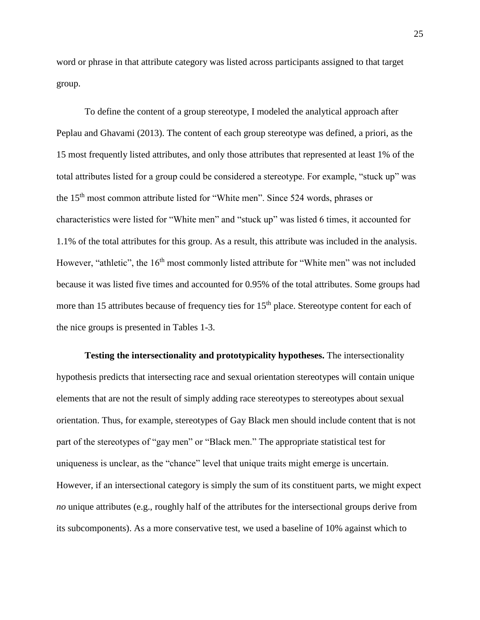word or phrase in that attribute category was listed across participants assigned to that target group.

To define the content of a group stereotype, I modeled the analytical approach after Peplau and Ghavami (2013). The content of each group stereotype was defined, a priori, as the 15 most frequently listed attributes, and only those attributes that represented at least 1% of the total attributes listed for a group could be considered a stereotype. For example, "stuck up" was the 15th most common attribute listed for "White men". Since 524 words, phrases or characteristics were listed for "White men" and "stuck up" was listed 6 times, it accounted for 1.1% of the total attributes for this group. As a result, this attribute was included in the analysis. However, "athletic", the 16<sup>th</sup> most commonly listed attribute for "White men" was not included because it was listed five times and accounted for 0.95% of the total attributes. Some groups had more than 15 attributes because of frequency ties for  $15<sup>th</sup>$  place. Stereotype content for each of the nice groups is presented in Tables 1-3.

**Testing the intersectionality and prototypicality hypotheses.** The intersectionality hypothesis predicts that intersecting race and sexual orientation stereotypes will contain unique elements that are not the result of simply adding race stereotypes to stereotypes about sexual orientation. Thus, for example, stereotypes of Gay Black men should include content that is not part of the stereotypes of "gay men" or "Black men." The appropriate statistical test for uniqueness is unclear, as the "chance" level that unique traits might emerge is uncertain. However, if an intersectional category is simply the sum of its constituent parts, we might expect *no* unique attributes (e.g., roughly half of the attributes for the intersectional groups derive from its subcomponents). As a more conservative test, we used a baseline of 10% against which to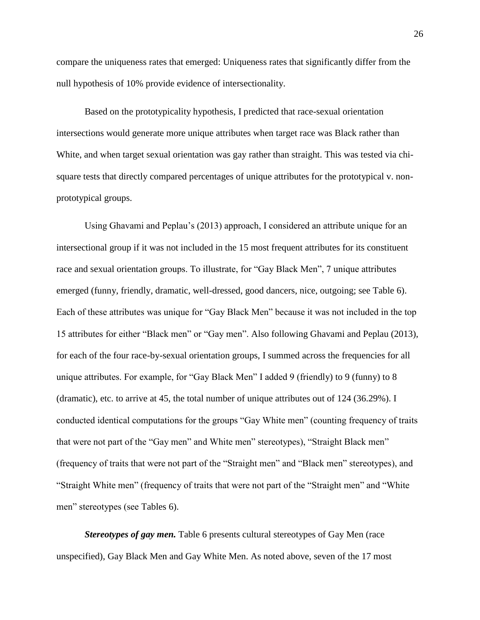compare the uniqueness rates that emerged: Uniqueness rates that significantly differ from the null hypothesis of 10% provide evidence of intersectionality.

Based on the prototypicality hypothesis, I predicted that race-sexual orientation intersections would generate more unique attributes when target race was Black rather than White, and when target sexual orientation was gay rather than straight. This was tested via chisquare tests that directly compared percentages of unique attributes for the prototypical v. nonprototypical groups.

Using Ghavami and Peplau's (2013) approach, I considered an attribute unique for an intersectional group if it was not included in the 15 most frequent attributes for its constituent race and sexual orientation groups. To illustrate, for "Gay Black Men", 7 unique attributes emerged (funny, friendly, dramatic, well-dressed, good dancers, nice, outgoing; see Table 6). Each of these attributes was unique for "Gay Black Men" because it was not included in the top 15 attributes for either "Black men" or "Gay men". Also following Ghavami and Peplau (2013), for each of the four race-by-sexual orientation groups, I summed across the frequencies for all unique attributes. For example, for "Gay Black Men" I added 9 (friendly) to 9 (funny) to 8 (dramatic), etc. to arrive at 45, the total number of unique attributes out of 124 (36.29%). I conducted identical computations for the groups "Gay White men" (counting frequency of traits that were not part of the "Gay men" and White men" stereotypes), "Straight Black men" (frequency of traits that were not part of the "Straight men" and "Black men" stereotypes), and "Straight White men" (frequency of traits that were not part of the "Straight men" and "White men" stereotypes (see Tables 6).

*Stereotypes of gay men.* Table 6 presents cultural stereotypes of Gay Men (race unspecified), Gay Black Men and Gay White Men. As noted above, seven of the 17 most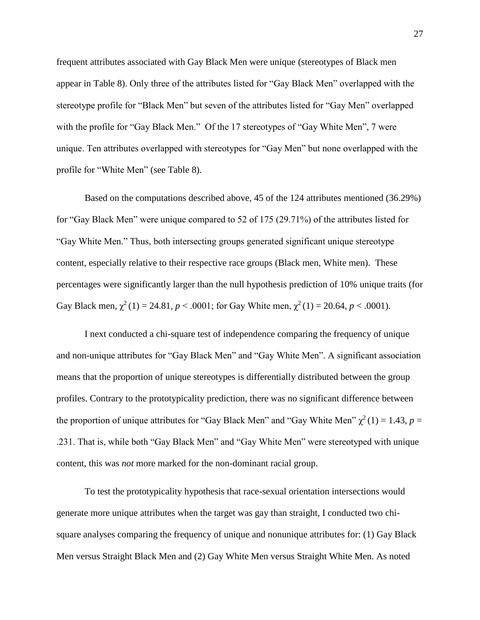frequent attributes associated with Gay Black Men were unique (stereotypes of Black men appear in Table 8). Only three of the attributes listed for "Gay Black Men" overlapped with the stereotype profile for "Black Men" but seven of the attributes listed for "Gay Men" overlapped with the profile for "Gay Black Men." Of the 17 stereotypes of "Gay White Men", 7 were unique. Ten attributes overlapped with stereotypes for "Gay Men" but none overlapped with the profile for "White Men" (see Table 8).

Based on the computations described above, 45 of the 124 attributes mentioned (36.29%) for "Gay Black Men" were unique compared to 52 of 175 (29.71%) of the attributes listed for "Gay White Men." Thus, both intersecting groups generated significant unique stereotype content, especially relative to their respective race groups (Black men, White men). These percentages were significantly larger than the null hypothesis prediction of 10% unique traits (for Gay Black men,  $\chi^2(1) = 24.81$ ,  $p < .0001$ ; for Gay White men,  $\chi^2(1) = 20.64$ ,  $p < .0001$ ).

I next conducted a chi-square test of independence comparing the frequency of unique and non-unique attributes for "Gay Black Men" and "Gay White Men". A significant association means that the proportion of unique stereotypes is differentially distributed between the group profiles. Contrary to the prototypicality prediction, there was no significant difference between the proportion of unique attributes for "Gay Black Men" and "Gay White Men"  $\chi^2(1) = 1.43$ ,  $p =$ .231. That is, while both "Gay Black Men" and "Gay White Men" were stereotyped with unique content, this was *not* more marked for the non-dominant racial group.

To test the prototypicality hypothesis that race-sexual orientation intersections would generate more unique attributes when the target was gay than straight, I conducted two chisquare analyses comparing the frequency of unique and nonunique attributes for: (1) Gay Black Men versus Straight Black Men and (2) Gay White Men versus Straight White Men. As noted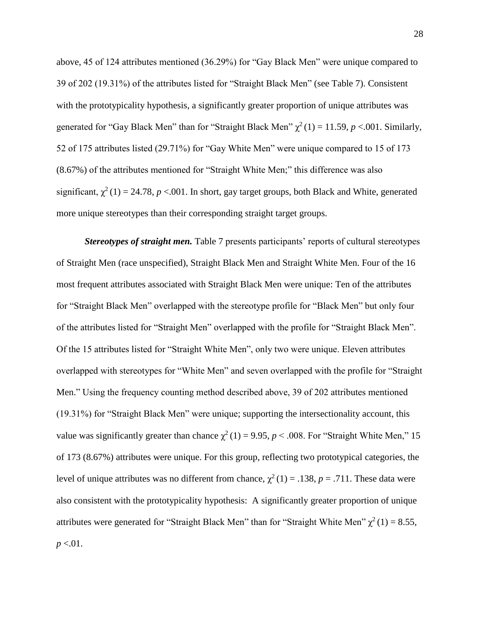above, 45 of 124 attributes mentioned (36.29%) for "Gay Black Men" were unique compared to 39 of 202 (19.31%) of the attributes listed for "Straight Black Men" (see Table 7). Consistent with the prototypicality hypothesis, a significantly greater proportion of unique attributes was generated for "Gay Black Men" than for "Straight Black Men"  $\chi^2(1) = 11.59$ ,  $p < .001$ . Similarly, 52 of 175 attributes listed (29.71%) for "Gay White Men" were unique compared to 15 of 173 (8.67%) of the attributes mentioned for "Straight White Men;" this difference was also significant,  $\chi^2(1) = 24.78$ ,  $p < .001$ . In short, gay target groups, both Black and White, generated more unique stereotypes than their corresponding straight target groups.

*Stereotypes of straight men.* Table 7 presents participants' reports of cultural stereotypes of Straight Men (race unspecified), Straight Black Men and Straight White Men. Four of the 16 most frequent attributes associated with Straight Black Men were unique: Ten of the attributes for "Straight Black Men" overlapped with the stereotype profile for "Black Men" but only four of the attributes listed for "Straight Men" overlapped with the profile for "Straight Black Men". Of the 15 attributes listed for "Straight White Men", only two were unique. Eleven attributes overlapped with stereotypes for "White Men" and seven overlapped with the profile for "Straight Men." Using the frequency counting method described above, 39 of 202 attributes mentioned (19.31%) for "Straight Black Men" were unique; supporting the intersectionality account, this value was significantly greater than chance  $\chi^2(1) = 9.95$ ,  $p < .008$ . For "Straight White Men," 15 of 173 (8.67%) attributes were unique. For this group, reflecting two prototypical categories, the level of unique attributes was no different from chance,  $\chi^2(1) = .138$ , *p* = .711. These data were also consistent with the prototypicality hypothesis: A significantly greater proportion of unique attributes were generated for "Straight Black Men" than for "Straight White Men"  $\chi^2(1) = 8.55$ , *p* <.01.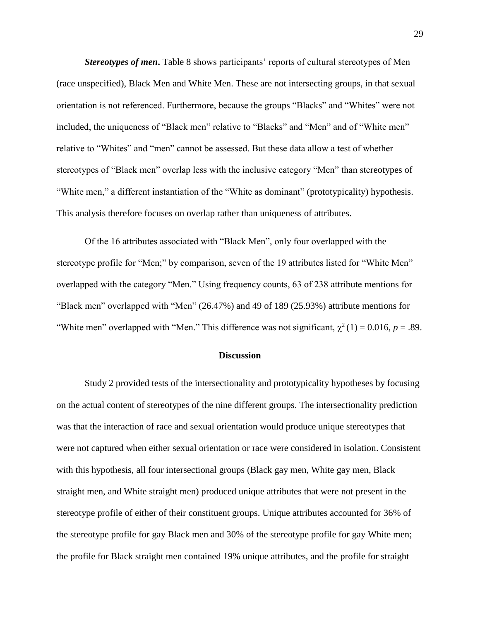*Stereotypes of men***.** Table 8 shows participants' reports of cultural stereotypes of Men (race unspecified), Black Men and White Men. These are not intersecting groups, in that sexual orientation is not referenced. Furthermore, because the groups "Blacks" and "Whites" were not included, the uniqueness of "Black men" relative to "Blacks" and "Men" and of "White men" relative to "Whites" and "men" cannot be assessed. But these data allow a test of whether stereotypes of "Black men" overlap less with the inclusive category "Men" than stereotypes of "White men," a different instantiation of the "White as dominant" (prototypicality) hypothesis. This analysis therefore focuses on overlap rather than uniqueness of attributes.

Of the 16 attributes associated with "Black Men", only four overlapped with the stereotype profile for "Men;" by comparison, seven of the 19 attributes listed for "White Men" overlapped with the category "Men." Using frequency counts, 63 of 238 attribute mentions for "Black men" overlapped with "Men" (26.47%) and 49 of 189 (25.93%) attribute mentions for "White men" overlapped with "Men." This difference was not significant,  $\chi^2(1) = 0.016$ ,  $p = .89$ .

## **Discussion**

Study 2 provided tests of the intersectionality and prototypicality hypotheses by focusing on the actual content of stereotypes of the nine different groups. The intersectionality prediction was that the interaction of race and sexual orientation would produce unique stereotypes that were not captured when either sexual orientation or race were considered in isolation. Consistent with this hypothesis, all four intersectional groups (Black gay men, White gay men, Black straight men, and White straight men) produced unique attributes that were not present in the stereotype profile of either of their constituent groups. Unique attributes accounted for 36% of the stereotype profile for gay Black men and 30% of the stereotype profile for gay White men; the profile for Black straight men contained 19% unique attributes, and the profile for straight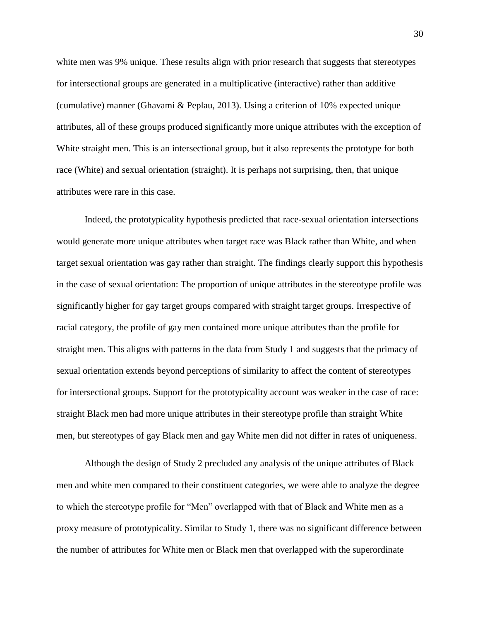white men was 9% unique. These results align with prior research that suggests that stereotypes for intersectional groups are generated in a multiplicative (interactive) rather than additive (cumulative) manner (Ghavami & Peplau, 2013). Using a criterion of 10% expected unique attributes, all of these groups produced significantly more unique attributes with the exception of White straight men. This is an intersectional group, but it also represents the prototype for both race (White) and sexual orientation (straight). It is perhaps not surprising, then, that unique attributes were rare in this case.

Indeed, the prototypicality hypothesis predicted that race-sexual orientation intersections would generate more unique attributes when target race was Black rather than White, and when target sexual orientation was gay rather than straight. The findings clearly support this hypothesis in the case of sexual orientation: The proportion of unique attributes in the stereotype profile was significantly higher for gay target groups compared with straight target groups. Irrespective of racial category, the profile of gay men contained more unique attributes than the profile for straight men. This aligns with patterns in the data from Study 1 and suggests that the primacy of sexual orientation extends beyond perceptions of similarity to affect the content of stereotypes for intersectional groups. Support for the prototypicality account was weaker in the case of race: straight Black men had more unique attributes in their stereotype profile than straight White men, but stereotypes of gay Black men and gay White men did not differ in rates of uniqueness.

Although the design of Study 2 precluded any analysis of the unique attributes of Black men and white men compared to their constituent categories, we were able to analyze the degree to which the stereotype profile for "Men" overlapped with that of Black and White men as a proxy measure of prototypicality. Similar to Study 1, there was no significant difference between the number of attributes for White men or Black men that overlapped with the superordinate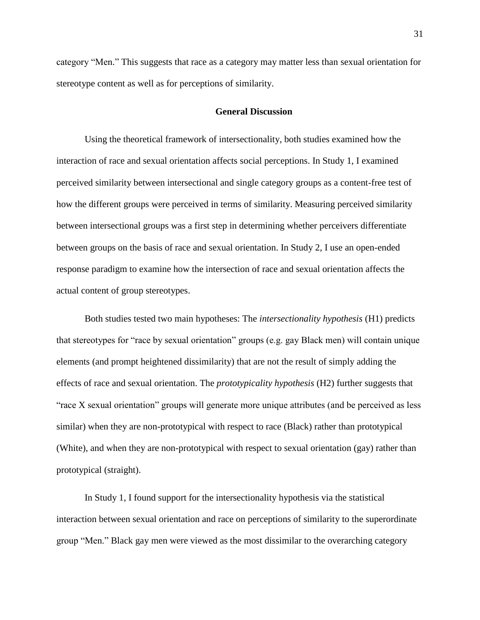category "Men." This suggests that race as a category may matter less than sexual orientation for stereotype content as well as for perceptions of similarity.

## **General Discussion**

Using the theoretical framework of intersectionality, both studies examined how the interaction of race and sexual orientation affects social perceptions. In Study 1, I examined perceived similarity between intersectional and single category groups as a content-free test of how the different groups were perceived in terms of similarity. Measuring perceived similarity between intersectional groups was a first step in determining whether perceivers differentiate between groups on the basis of race and sexual orientation. In Study 2, I use an open-ended response paradigm to examine how the intersection of race and sexual orientation affects the actual content of group stereotypes.

Both studies tested two main hypotheses: The *intersectionality hypothesis* (H1) predicts that stereotypes for "race by sexual orientation" groups (e.g. gay Black men) will contain unique elements (and prompt heightened dissimilarity) that are not the result of simply adding the effects of race and sexual orientation. The *prototypicality hypothesis* (H2) further suggests that "race X sexual orientation" groups will generate more unique attributes (and be perceived as less similar) when they are non-prototypical with respect to race (Black) rather than prototypical (White), and when they are non-prototypical with respect to sexual orientation (gay) rather than prototypical (straight).

In Study 1, I found support for the intersectionality hypothesis via the statistical interaction between sexual orientation and race on perceptions of similarity to the superordinate group "Men." Black gay men were viewed as the most dissimilar to the overarching category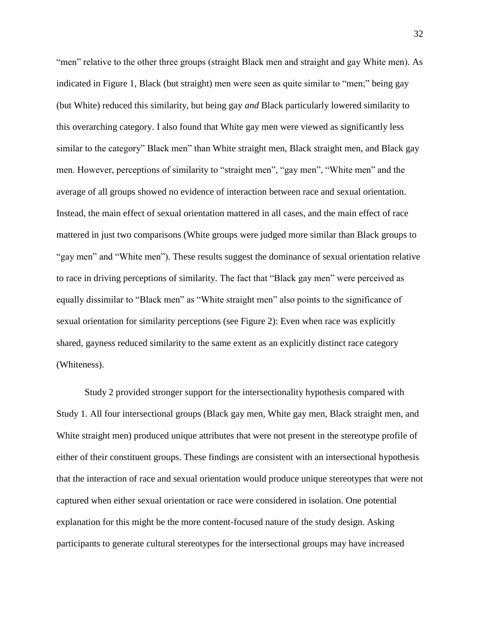"men" relative to the other three groups (straight Black men and straight and gay White men). As indicated in Figure 1, Black (but straight) men were seen as quite similar to "men;" being gay (but White) reduced this similarity, but being gay *and* Black particularly lowered similarity to this overarching category. I also found that White gay men were viewed as significantly less similar to the category" Black men" than White straight men, Black straight men, and Black gay men. However, perceptions of similarity to "straight men", "gay men", "White men" and the average of all groups showed no evidence of interaction between race and sexual orientation. Instead, the main effect of sexual orientation mattered in all cases, and the main effect of race mattered in just two comparisons (White groups were judged more similar than Black groups to "gay men" and "White men"). These results suggest the dominance of sexual orientation relative to race in driving perceptions of similarity. The fact that "Black gay men" were perceived as equally dissimilar to "Black men" as "White straight men" also points to the significance of sexual orientation for similarity perceptions (see Figure 2): Even when race was explicitly shared, gayness reduced similarity to the same extent as an explicitly distinct race category (Whiteness).

Study 2 provided stronger support for the intersectionality hypothesis compared with Study 1. All four intersectional groups (Black gay men, White gay men, Black straight men, and White straight men) produced unique attributes that were not present in the stereotype profile of either of their constituent groups. These findings are consistent with an intersectional hypothesis that the interaction of race and sexual orientation would produce unique stereotypes that were not captured when either sexual orientation or race were considered in isolation. One potential explanation for this might be the more content-focused nature of the study design. Asking participants to generate cultural stereotypes for the intersectional groups may have increased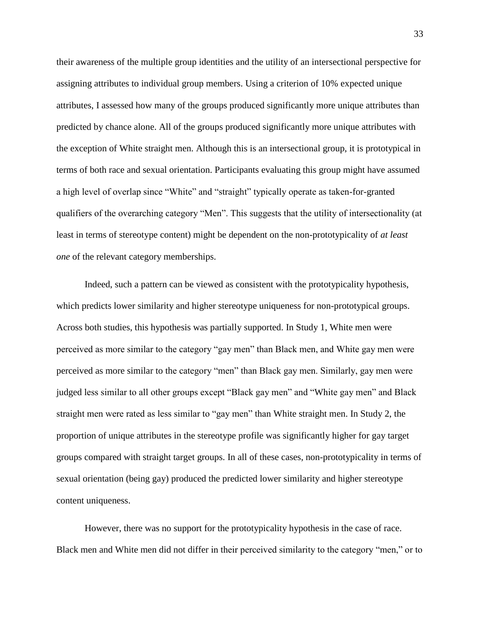their awareness of the multiple group identities and the utility of an intersectional perspective for assigning attributes to individual group members. Using a criterion of 10% expected unique attributes, I assessed how many of the groups produced significantly more unique attributes than predicted by chance alone. All of the groups produced significantly more unique attributes with the exception of White straight men. Although this is an intersectional group, it is prototypical in terms of both race and sexual orientation. Participants evaluating this group might have assumed a high level of overlap since "White" and "straight" typically operate as taken-for-granted qualifiers of the overarching category "Men". This suggests that the utility of intersectionality (at least in terms of stereotype content) might be dependent on the non-prototypicality of *at least one* of the relevant category memberships.

Indeed, such a pattern can be viewed as consistent with the prototypicality hypothesis, which predicts lower similarity and higher stereotype uniqueness for non-prototypical groups. Across both studies, this hypothesis was partially supported. In Study 1, White men were perceived as more similar to the category "gay men" than Black men, and White gay men were perceived as more similar to the category "men" than Black gay men. Similarly, gay men were judged less similar to all other groups except "Black gay men" and "White gay men" and Black straight men were rated as less similar to "gay men" than White straight men. In Study 2, the proportion of unique attributes in the stereotype profile was significantly higher for gay target groups compared with straight target groups. In all of these cases, non-prototypicality in terms of sexual orientation (being gay) produced the predicted lower similarity and higher stereotype content uniqueness.

However, there was no support for the prototypicality hypothesis in the case of race. Black men and White men did not differ in their perceived similarity to the category "men," or to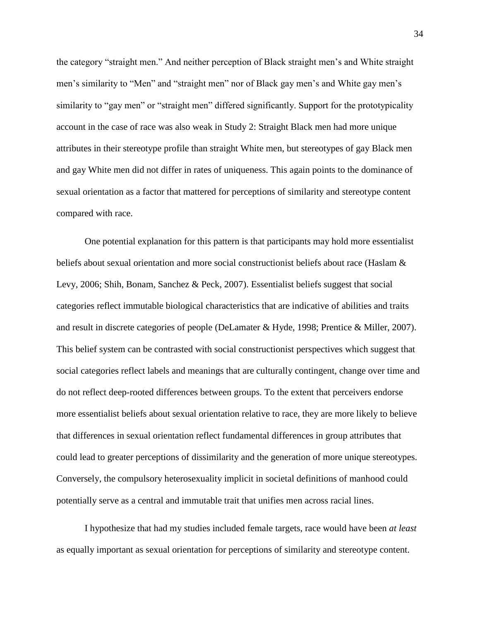the category "straight men." And neither perception of Black straight men's and White straight men's similarity to "Men" and "straight men" nor of Black gay men's and White gay men's similarity to "gay men" or "straight men" differed significantly. Support for the prototypicality account in the case of race was also weak in Study 2: Straight Black men had more unique attributes in their stereotype profile than straight White men, but stereotypes of gay Black men and gay White men did not differ in rates of uniqueness. This again points to the dominance of sexual orientation as a factor that mattered for perceptions of similarity and stereotype content compared with race.

One potential explanation for this pattern is that participants may hold more essentialist beliefs about sexual orientation and more social constructionist beliefs about race (Haslam & Levy, 2006; Shih, Bonam, Sanchez & Peck, 2007). Essentialist beliefs suggest that social categories reflect immutable biological characteristics that are indicative of abilities and traits and result in discrete categories of people (DeLamater & Hyde, 1998; Prentice & Miller, 2007). This belief system can be contrasted with social constructionist perspectives which suggest that social categories reflect labels and meanings that are culturally contingent, change over time and do not reflect deep-rooted differences between groups. To the extent that perceivers endorse more essentialist beliefs about sexual orientation relative to race, they are more likely to believe that differences in sexual orientation reflect fundamental differences in group attributes that could lead to greater perceptions of dissimilarity and the generation of more unique stereotypes. Conversely, the compulsory heterosexuality implicit in societal definitions of manhood could potentially serve as a central and immutable trait that unifies men across racial lines.

I hypothesize that had my studies included female targets, race would have been *at least* as equally important as sexual orientation for perceptions of similarity and stereotype content.

34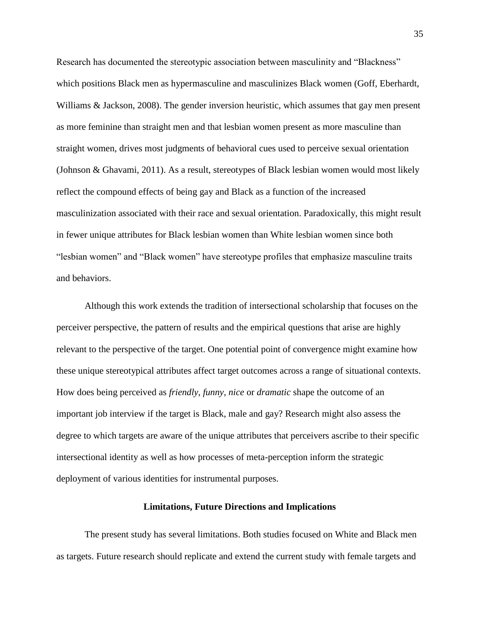Research has documented the stereotypic association between masculinity and "Blackness" which positions Black men as hypermasculine and masculinizes Black women (Goff, Eberhardt, Williams & Jackson, 2008). The gender inversion heuristic, which assumes that gay men present as more feminine than straight men and that lesbian women present as more masculine than straight women, drives most judgments of behavioral cues used to perceive sexual orientation (Johnson & Ghavami, 2011). As a result, stereotypes of Black lesbian women would most likely reflect the compound effects of being gay and Black as a function of the increased masculinization associated with their race and sexual orientation. Paradoxically, this might result in fewer unique attributes for Black lesbian women than White lesbian women since both "lesbian women" and "Black women" have stereotype profiles that emphasize masculine traits and behaviors.

Although this work extends the tradition of intersectional scholarship that focuses on the perceiver perspective, the pattern of results and the empirical questions that arise are highly relevant to the perspective of the target. One potential point of convergence might examine how these unique stereotypical attributes affect target outcomes across a range of situational contexts. How does being perceived as *friendly*, *funny*, *nice* or *dramatic* shape the outcome of an important job interview if the target is Black, male and gay? Research might also assess the degree to which targets are aware of the unique attributes that perceivers ascribe to their specific intersectional identity as well as how processes of meta-perception inform the strategic deployment of various identities for instrumental purposes.

#### **Limitations, Future Directions and Implications**

The present study has several limitations. Both studies focused on White and Black men as targets. Future research should replicate and extend the current study with female targets and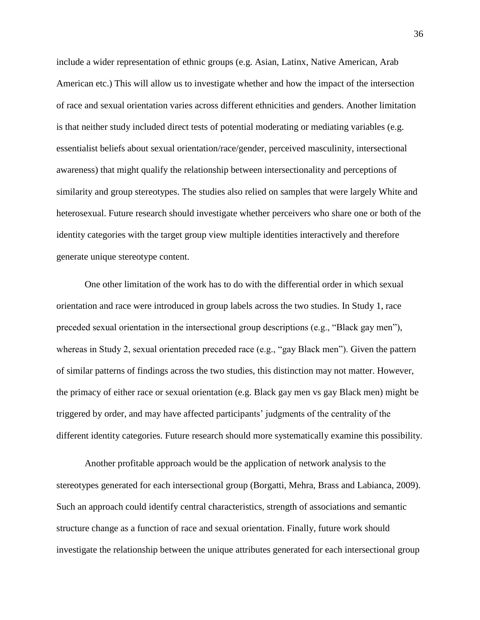include a wider representation of ethnic groups (e.g. Asian, Latinx, Native American, Arab American etc.) This will allow us to investigate whether and how the impact of the intersection of race and sexual orientation varies across different ethnicities and genders. Another limitation is that neither study included direct tests of potential moderating or mediating variables (e.g. essentialist beliefs about sexual orientation/race/gender, perceived masculinity, intersectional awareness) that might qualify the relationship between intersectionality and perceptions of similarity and group stereotypes. The studies also relied on samples that were largely White and heterosexual. Future research should investigate whether perceivers who share one or both of the identity categories with the target group view multiple identities interactively and therefore generate unique stereotype content.

One other limitation of the work has to do with the differential order in which sexual orientation and race were introduced in group labels across the two studies. In Study 1, race preceded sexual orientation in the intersectional group descriptions (e.g., "Black gay men"), whereas in Study 2, sexual orientation preceded race (e.g., "gay Black men"). Given the pattern of similar patterns of findings across the two studies, this distinction may not matter. However, the primacy of either race or sexual orientation (e.g. Black gay men vs gay Black men) might be triggered by order, and may have affected participants' judgments of the centrality of the different identity categories. Future research should more systematically examine this possibility.

Another profitable approach would be the application of network analysis to the stereotypes generated for each intersectional group (Borgatti, Mehra, Brass and Labianca, 2009). Such an approach could identify central characteristics, strength of associations and semantic structure change as a function of race and sexual orientation. Finally, future work should investigate the relationship between the unique attributes generated for each intersectional group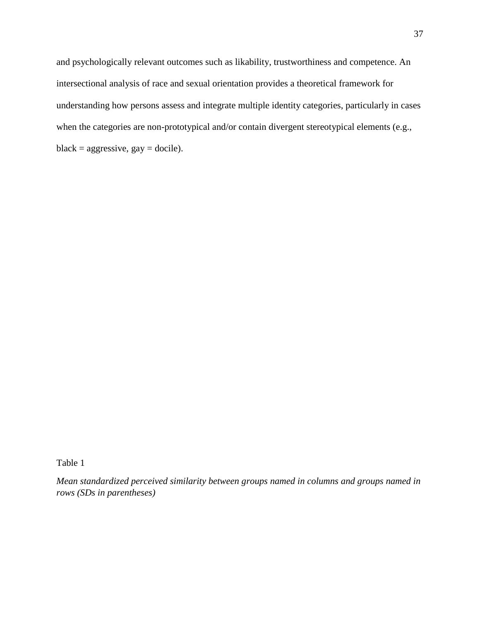and psychologically relevant outcomes such as likability, trustworthiness and competence. An intersectional analysis of race and sexual orientation provides a theoretical framework for understanding how persons assess and integrate multiple identity categories, particularly in cases when the categories are non-prototypical and/or contain divergent stereotypical elements (e.g.,  $black = aggressive, gay = docile).$ 

Table 1

*Mean standardized perceived similarity between groups named in columns and groups named in rows (SDs in parentheses)*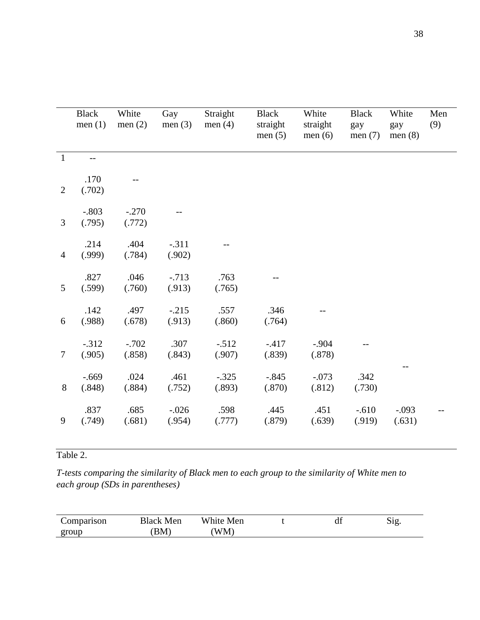|                | <b>Black</b><br>men $(1)$ | White<br>men $(2)$ | Gay<br>men $(3)$  | Straight<br>men $(4)$ | <b>Black</b><br>straight<br>men $(5)$ | White<br>straight<br>men $(6)$ | <b>Black</b><br>gay<br>men $(7)$ | White<br>gay<br>men $(8)$ | Men<br>(9) |
|----------------|---------------------------|--------------------|-------------------|-----------------------|---------------------------------------|--------------------------------|----------------------------------|---------------------------|------------|
| $\mathbf{1}$   | $-$                       |                    |                   |                       |                                       |                                |                                  |                           |            |
| $\overline{2}$ | .170<br>(.702)            |                    |                   |                       |                                       |                                |                                  |                           |            |
| 3              | $-.803$<br>(.795)         | $-.270$<br>(.772)  |                   |                       |                                       |                                |                                  |                           |            |
| $\overline{4}$ | .214<br>(.999)            | .404<br>(.784)     | $-.311$<br>(.902) |                       |                                       |                                |                                  |                           |            |
| 5              | .827<br>(.599)            | .046<br>(.760)     | $-.713$<br>(.913) | .763<br>(.765)        |                                       |                                |                                  |                           |            |
| 6              | .142<br>(.988)            | .497<br>(.678)     | $-.215$<br>(.913) | .557<br>(.860)        | .346<br>(.764)                        |                                |                                  |                           |            |
| $\tau$         | $-.312$<br>(.905)         | $-.702$<br>(.858)  | .307<br>(.843)    | $-.512$<br>(.907)     | $-417$<br>(.839)                      | $-.904$<br>(.878)              |                                  |                           |            |
| 8              | $-.669$<br>(.848)         | .024<br>(.884)     | .461<br>(.752)    | $-.325$<br>(.893)     | $-.845$<br>(.870)                     | $-.073$<br>(.812)              | .342<br>(.730)                   |                           |            |
| 9              | .837<br>(.749)            | .685<br>(.681)     | $-.026$<br>(.954) | .598<br>(.777)        | .445<br>(.879)                        | .451<br>(.639)                 | $-.610$<br>(.919)                | $-.093$<br>(.631)         |            |

# Table 2.

*T-tests comparing the similarity of Black men to each group to the similarity of White men to each group (SDs in parentheses)*

| omparison | slack<br>Men       | White<br>Men | u | .1 O<br>NIE. |
|-----------|--------------------|--------------|---|--------------|
| group     | . Г<br><b>DIVI</b> | $^7M$<br>A.  |   |              |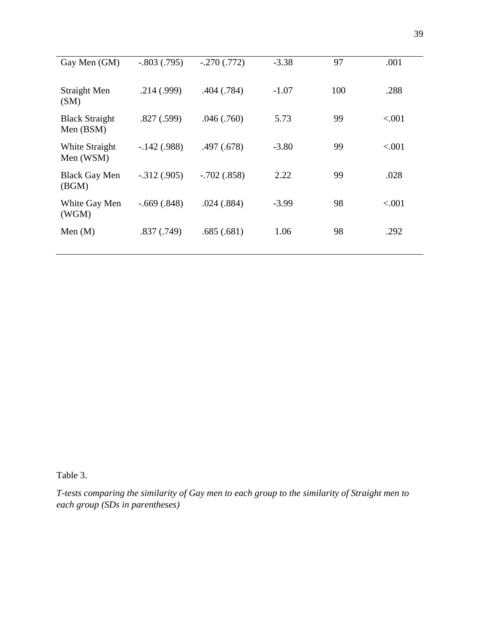| Gay Men (GM)                       | $-.803(.795)$   | $-.270(.772)$ | $-3.38$ | 97  | .001     |
|------------------------------------|-----------------|---------------|---------|-----|----------|
| Straight Men<br>(SM)               | .214(.999)      | .404(.784)    | $-1.07$ | 100 | .288     |
| <b>Black Straight</b><br>Men (BSM) | .827(.599)      | .046(.760)    | 5.73    | 99  | ${<}001$ |
| White Straight<br>Men (WSM)        | $-.142(.988)$   | .497 (.678)   | $-3.80$ | 99  | ${<}001$ |
| <b>Black Gay Men</b><br>(BGM)      | $-0.312(0.905)$ | $-.702(.858)$ | 2.22    | 99  | .028     |
| White Gay Men<br>(WGM)             | $-.669(.848)$   | .024(.884)    | $-3.99$ | 98  | ${<}001$ |
| Men $(M)$                          | .837(.749)      | .685(.681)    | 1.06    | 98  | .292     |
|                                    |                 |               |         |     |          |

Table 3.

*T-tests comparing the similarity of Gay men to each group to the similarity of Straight men to each group (SDs in parentheses)*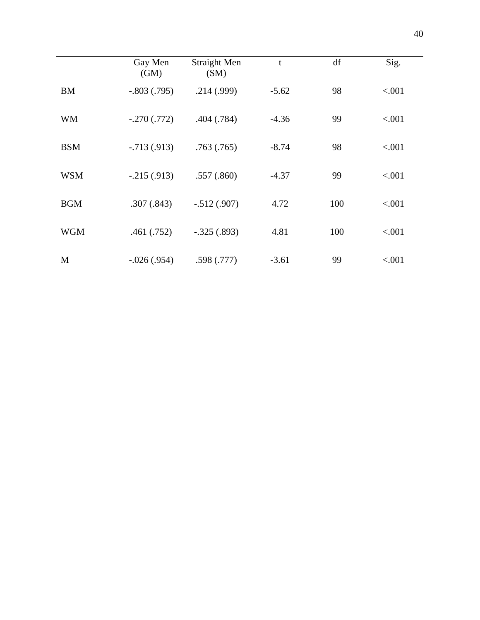|            | Gay Men<br>(GM) | <b>Straight Men</b><br>(SM) | $\mathbf t$ | df  | Sig.   |
|------------|-----------------|-----------------------------|-------------|-----|--------|
| <b>BM</b>  | $-.803(.795)$   | .214(.999)                  | $-5.62$     | 98  | < .001 |
| <b>WM</b>  | $-.270(.772)$   | .404(.784)                  | $-4.36$     | 99  | < .001 |
| <b>BSM</b> | $-0.713(0.913)$ | .763(.765)                  | $-8.74$     | 98  | < .001 |
| <b>WSM</b> | $-.215(.913)$   | .557(.860)                  | $-4.37$     | 99  | < .001 |
| <b>BGM</b> | .307(.843)      | $-.512(.907)$               | 4.72        | 100 | < .001 |
| <b>WGM</b> | .461(.752)      | $-.325(.893)$               | 4.81        | 100 | < .001 |
| M          | $-.026(.954)$   | .598(.777)                  | $-3.61$     | 99  | < .001 |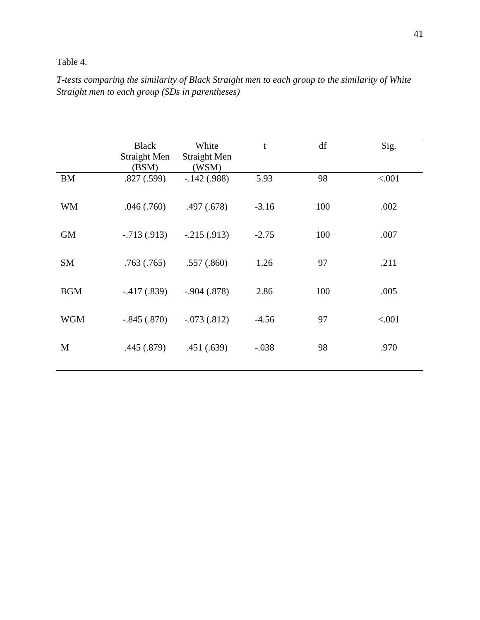## Table 4.

## *T-tests comparing the similarity of Black Straight men to each group to the similarity of White Straight men to each group (SDs in parentheses)*

|            | <b>Black</b>        | White               | t       | df  | Sig.   |
|------------|---------------------|---------------------|---------|-----|--------|
|            | <b>Straight Men</b> | <b>Straight Men</b> |         |     |        |
|            | (BSM)               | (WSM)               |         |     |        |
| <b>BM</b>  | .827(.599)          | $-.142(.988)$       | 5.93    | 98  | < .001 |
| WM         | .046(.760)          | .497 (.678)         | $-3.16$ | 100 | .002   |
| <b>GM</b>  | $-0.713(0.913)$     | $-.215(.913)$       | $-2.75$ | 100 | .007   |
| <b>SM</b>  | .763(.765)          | .557(.860)          | 1.26    | 97  | .211   |
| <b>BGM</b> | $-.417(.839)$       | $-.904(.878)$       | 2.86    | 100 | .005   |
| <b>WGM</b> | $-.845(.870)$       | $-.073(.812)$       | $-4.56$ | 97  | < .001 |
| M          | .445 (.879)         | .451(.639)          | $-.038$ | 98  | .970   |
|            |                     |                     |         |     |        |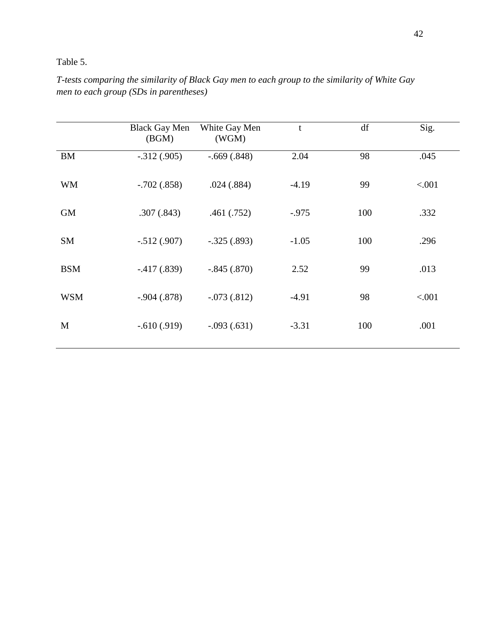## Table 5.

| T-tests comparing the similarity of Black Gay men to each group to the similarity of White Gay |  |  |
|------------------------------------------------------------------------------------------------|--|--|
| men to each group (SDs in parentheses)                                                         |  |  |

|            | <b>Black Gay Men</b><br>(BGM) | White Gay Men<br>(WGM) | t        | df  | Sig.   |
|------------|-------------------------------|------------------------|----------|-----|--------|
| <b>BM</b>  | $-.312(.905)$                 | $-.669(.848)$          | 2.04     | 98  | .045   |
| <b>WM</b>  | $-.702(.858)$                 | .024(.884)             | $-4.19$  | 99  | < .001 |
| <b>GM</b>  | .307(.843)                    | .461(.752)             | $-0.975$ | 100 | .332   |
| <b>SM</b>  | $-.512(.907)$                 | $-.325(.893)$          | $-1.05$  | 100 | .296   |
| <b>BSM</b> | $-.417(.839)$                 | $-.845(.870)$          | 2.52     | 99  | .013   |
| <b>WSM</b> | $-.904(.878)$                 | $-.073(.812)$          | $-4.91$  | 98  | < .001 |
| M          | $-.610(.919)$                 | $-.093(.631)$          | $-3.31$  | 100 | .001   |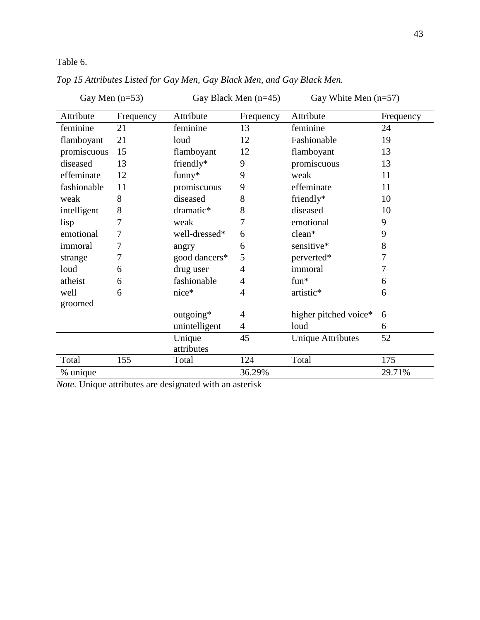Table 6.

| Gay Men $(n=53)$ |           |               | Gay Black Men $(n=45)$ | Gay White Men $(n=57)$   |           |
|------------------|-----------|---------------|------------------------|--------------------------|-----------|
| Attribute        | Frequency | Attribute     | Frequency              | Attribute                | Frequency |
| feminine         | 21        | feminine      | 13                     | feminine                 | 24        |
| flamboyant       | 21        | loud          | 12                     | Fashionable              | 19        |
| promiscuous      | 15        | flamboyant    | 12                     | flamboyant               | 13        |
| diseased         | 13        | friendly*     | 9                      | promiscuous              | 13        |
| effeminate       | 12        | funny*        | 9                      | weak                     | 11        |
| fashionable      | 11        | promiscuous   | 9                      | effeminate               | 11        |
| weak             | 8         | diseased      | 8                      | friendly*                | 10        |
| intelligent      | 8         | dramatic*     | 8                      | diseased                 | 10        |
| lisp             | 7         | weak          | 7                      | emotional                | 9         |
| emotional        | 7         | well-dressed* | 6                      | clean*                   | 9         |
| immoral          | 7         | angry         | 6                      | sensitive*               | 8         |
| strange          | 7         | good dancers* | 5                      | perverted*               | 7         |
| loud             | 6         | drug user     | 4                      | immoral                  | 7         |
| atheist          | 6         | fashionable   | 4                      | $fun*$                   | 6         |
| well             | 6         | $nice*$       | 4                      | artistic*                | 6         |
| groomed          |           |               |                        |                          |           |
|                  |           | outgoing*     | 4                      | higher pitched voice*    | 6         |
|                  |           | unintelligent | 4                      | loud                     | 6         |
|                  |           | Unique        | 45                     | <b>Unique Attributes</b> | 52        |
|                  |           | attributes    |                        |                          |           |
| Total            | 155       | Total         | 124                    | Total                    | 175       |
| % unique         |           |               | 36.29%                 |                          | 29.71%    |

*Top 15 Attributes Listed for Gay Men, Gay Black Men, and Gay Black Men.*

*Note.* Unique attributes are designated with an asterisk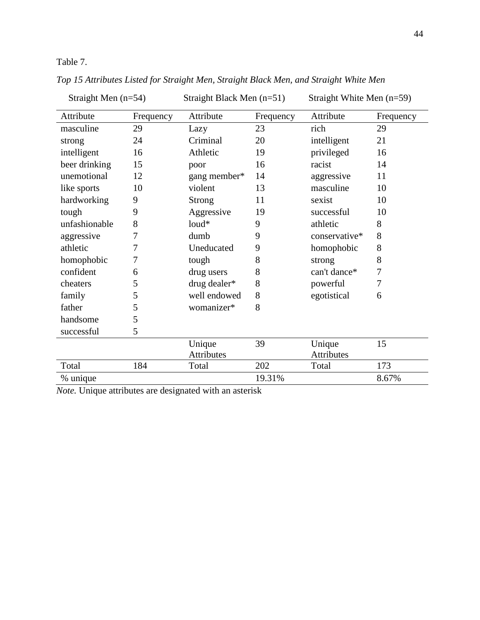Table 7.

| Straight Men $(n=54)$ |           | Straight Black Men $(n=51)$ |           | Straight White Men $(n=59)$ |           |
|-----------------------|-----------|-----------------------------|-----------|-----------------------------|-----------|
| Attribute             | Frequency | Attribute                   | Frequency | Attribute                   | Frequency |
| masculine             | 29        | Lazy                        | 23        | rich                        | 29        |
| strong                | 24        | Criminal                    | 20        | intelligent                 | 21        |
| intelligent           | 16        | Athletic                    | 19        | privileged                  | 16        |
| beer drinking         | 15        | poor                        | 16        | racist                      | 14        |
| unemotional           | 12        | gang member*                | 14        | aggressive                  | 11        |
| like sports           | 10        | violent                     | 13        | masculine                   | 10        |
| hardworking           | 9         | <b>Strong</b>               | 11        | sexist                      | 10        |
| tough                 | 9         | Aggressive                  | 19        | successful                  | 10        |
| unfashionable         | 8         | $loud*$                     | 9         | athletic                    | 8         |
| aggressive            | 7         | dumb                        | 9         | conservative*               | 8         |
| athletic              | 7         | Uneducated                  | 9         | homophobic                  | 8         |
| homophobic            | 7         | tough                       | 8         | strong                      | 8         |
| confident             | 6         | drug users                  | 8         | can't dance*                | 7         |
| cheaters              | 5         | drug dealer*                | 8         | powerful                    | 7         |
| family                | 5         | well endowed                | 8         | egotistical                 | 6         |
| father                | 5         | womanizer*                  | 8         |                             |           |
| handsome              | 5         |                             |           |                             |           |
| successful            | 5         |                             |           |                             |           |
|                       |           | Unique                      | 39        | Unique                      | 15        |
|                       |           | <b>Attributes</b>           |           | Attributes                  |           |
| Total                 | 184       | Total                       | 202       | Total                       | 173       |
| % unique              |           |                             | 19.31%    |                             | 8.67%     |

*Top 15 Attributes Listed for Straight Men, Straight Black Men, and Straight White Men*

*Note.* Unique attributes are designated with an asterisk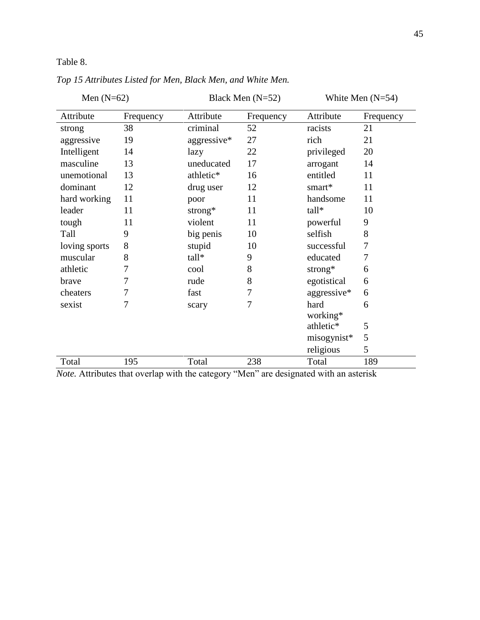Table 8.

| Men $(N=62)$  |           |             | Black Men $(N=52)$ | White Men $(N=54)$ |           |  |
|---------------|-----------|-------------|--------------------|--------------------|-----------|--|
| Attribute     | Frequency | Attribute   | Frequency          | Attribute          | Frequency |  |
| strong        | 38        | criminal    | 52                 | racists            | 21        |  |
| aggressive    | 19        | aggressive* | 27                 | rich               | 21        |  |
| Intelligent   | 14        | lazy        | 22                 | privileged         | 20        |  |
| masculine     | 13        | uneducated  | 17                 | arrogant           | 14        |  |
| unemotional   | 13        | athletic*   | 16                 | entitled           | 11        |  |
| dominant      | 12        | drug user   | 12                 | smart $*$          | 11        |  |
| hard working  | 11        | poor        | 11                 | handsome           | 11        |  |
| leader        | 11        | strong $*$  | 11                 | tall*              | 10        |  |
| tough         | 11        | violent     | 11                 | powerful           | 9         |  |
| Tall          | 9         | big penis   | 10                 | selfish            | 8         |  |
| loving sports | 8         | stupid      | 10                 | successful         | 7         |  |
| muscular      | 8         | tall*       | 9                  | educated           | 7         |  |
| athletic      | $\tau$    | cool        | 8                  | strong $*$         | 6         |  |
| brave         | 7         | rude        | 8                  | egotistical        | 6         |  |
| cheaters      | 7         | fast        | 7                  | aggressive*        | 6         |  |
| sexist        | 7         | scary       | 7                  | hard               | 6         |  |
|               |           |             |                    | working*           |           |  |
|               |           |             |                    | athletic*          | 5         |  |
|               |           |             |                    | misogynist*        | 5         |  |
|               |           |             |                    | religious          | 5         |  |
| Total         | 195       | Total       | 238                | Total              | 189       |  |

*Top 15 Attributes Listed for Men, Black Men, and White Men.* 

*Note.* Attributes that overlap with the category "Men" are designated with an asterisk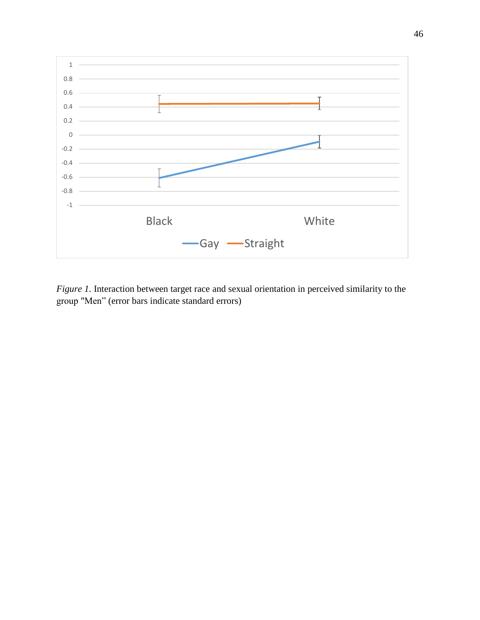

*Figure 1.* Interaction between target race and sexual orientation in perceived similarity to the group "Men" (error bars indicate standard errors)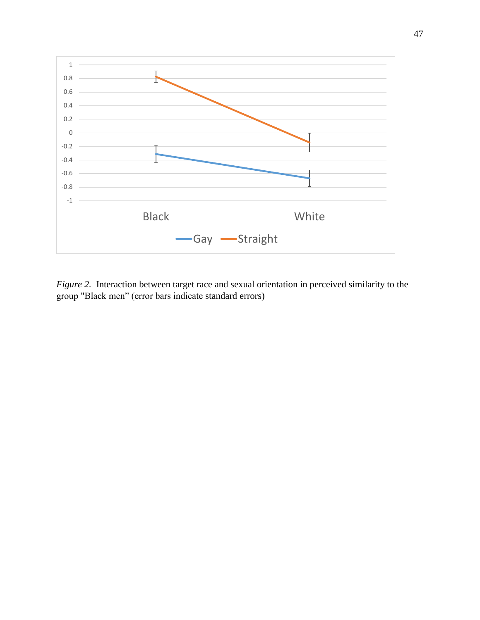

*Figure 2.* Interaction between target race and sexual orientation in perceived similarity to the group "Black men" (error bars indicate standard errors)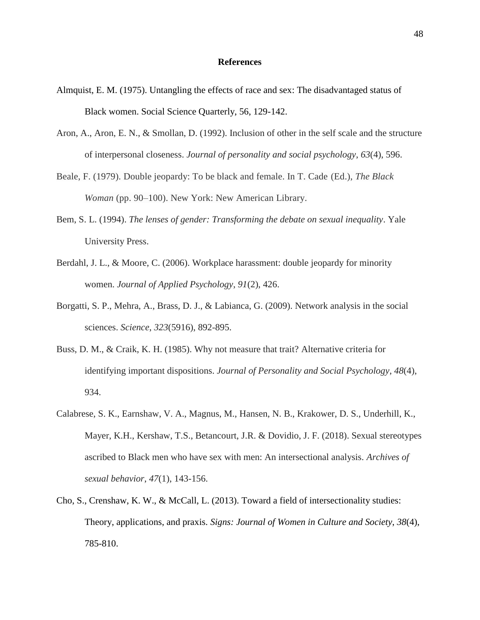### **References**

- Almquist, E. M. (1975). Untangling the effects of race and sex: The disadvantaged status of Black women. Social Science Quarterly, 56, 129-142.
- Aron, A., Aron, E. N., & Smollan, D. (1992). Inclusion of other in the self scale and the structure of interpersonal closeness. *Journal of personality and social psychology*, *63*(4), 596.
- Beale, F. (1979). Double jeopardy: To be black and female. In T. Cade (Ed.), *The Black Woman* (pp. 90–100). New York: New American Library.
- Bem, S. L. (1994). *The lenses of gender: Transforming the debate on sexual inequality*. Yale University Press.
- Berdahl, J. L., & Moore, C. (2006). Workplace harassment: double jeopardy for minority women. *Journal of Applied Psychology*, *91*(2), 426.
- Borgatti, S. P., Mehra, A., Brass, D. J., & Labianca, G. (2009). Network analysis in the social sciences. *Science*, *323*(5916), 892-895.
- Buss, D. M., & Craik, K. H. (1985). Why not measure that trait? Alternative criteria for identifying important dispositions. *Journal of Personality and Social Psychology*, *48*(4), 934.
- Calabrese, S. K., Earnshaw, V. A., Magnus, M., Hansen, N. B., Krakower, D. S., Underhill, K., Mayer, K.H., Kershaw, T.S., Betancourt, J.R. & Dovidio, J. F. (2018). Sexual stereotypes ascribed to Black men who have sex with men: An intersectional analysis. *Archives of sexual behavior*, *47*(1), 143-156.
- Cho, S., Crenshaw, K. W., & McCall, L. (2013). Toward a field of intersectionality studies: Theory, applications, and praxis. *Signs: Journal of Women in Culture and Society*, *38*(4), 785-810.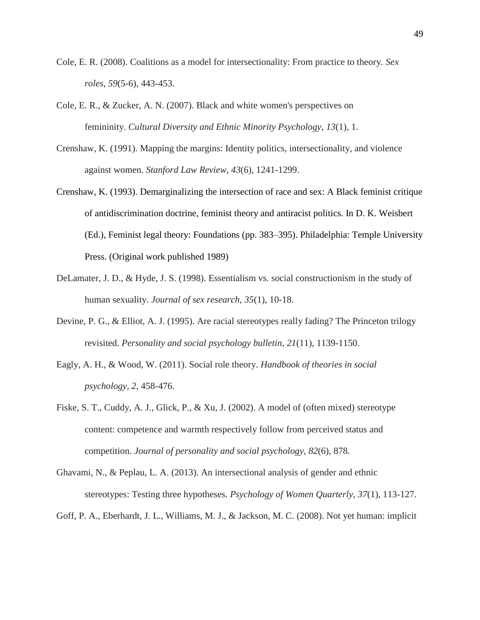- Cole, E. R. (2008). Coalitions as a model for intersectionality: From practice to theory. *Sex roles*, *59*(5-6), 443-453.
- Cole, E. R., & Zucker, A. N. (2007). Black and white women's perspectives on femininity. *Cultural Diversity and Ethnic Minority Psychology*, *13*(1), 1.
- Crenshaw, K. (1991). Mapping the margins: Identity politics, intersectionality, and violence against women. *Stanford Law Review*, *43*(6), 1241-1299.
- Crenshaw, K. (1993). Demarginalizing the intersection of race and sex: A Black feminist critique of antidiscrimination doctrine, feminist theory and antiracist politics. In D. K. Weisbert (Ed.), Feminist legal theory: Foundations (pp. 383–395). Philadelphia: Temple University Press. (Original work published 1989)
- DeLamater, J. D., & Hyde, J. S. (1998). Essentialism vs. social constructionism in the study of human sexuality. *Journal of sex research*, *35*(1), 10-18.
- Devine, P. G., & Elliot, A. J. (1995). Are racial stereotypes really fading? The Princeton trilogy revisited. *Personality and social psychology bulletin*, *21*(11), 1139-1150.
- Eagly, A. H., & Wood, W. (2011). Social role theory. *Handbook of theories in social psychology*, *2*, 458-476.
- Fiske, S. T., Cuddy, A. J., Glick, P., & Xu, J. (2002). A model of (often mixed) stereotype content: competence and warmth respectively follow from perceived status and competition. *Journal of personality and social psychology*, *82*(6), 878.
- Ghavami, N., & Peplau, L. A. (2013). An intersectional analysis of gender and ethnic stereotypes: Testing three hypotheses. *Psychology of Women Quarterly*, *37*(1), 113-127.
- Goff, P. A., Eberhardt, J. L., Williams, M. J., & Jackson, M. C. (2008). Not yet human: implicit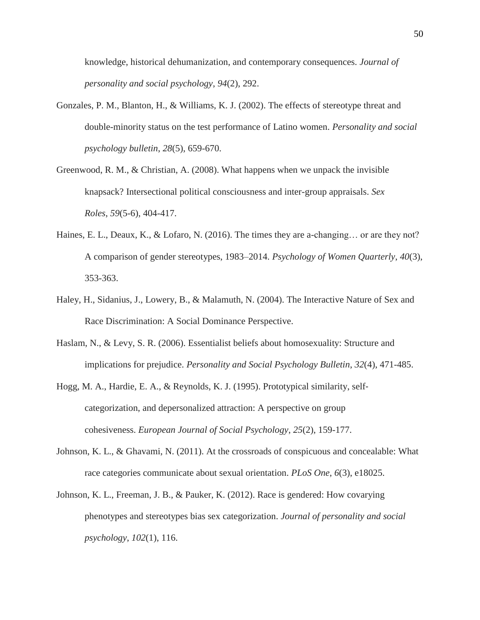knowledge, historical dehumanization, and contemporary consequences. *Journal of personality and social psychology*, *94*(2), 292.

- Gonzales, P. M., Blanton, H., & Williams, K. J. (2002). The effects of stereotype threat and double-minority status on the test performance of Latino women. *Personality and social psychology bulletin*, *28*(5), 659-670.
- Greenwood, R. M., & Christian, A. (2008). What happens when we unpack the invisible knapsack? Intersectional political consciousness and inter-group appraisals. *Sex Roles*, *59*(5-6), 404-417.
- Haines, E. L., Deaux, K., & Lofaro, N. (2016). The times they are a-changing... or are they not? A comparison of gender stereotypes, 1983–2014. *Psychology of Women Quarterly*, *40*(3), 353-363.
- Haley, H., Sidanius, J., Lowery, B., & Malamuth, N. (2004). The Interactive Nature of Sex and Race Discrimination: A Social Dominance Perspective.
- Haslam, N., & Levy, S. R. (2006). Essentialist beliefs about homosexuality: Structure and implications for prejudice. *Personality and Social Psychology Bulletin*, *32*(4), 471-485.
- Hogg, M. A., Hardie, E. A., & Reynolds, K. J. (1995). Prototypical similarity, self‐ categorization, and depersonalized attraction: A perspective on group cohesiveness. *European Journal of Social Psychology*, *25*(2), 159-177.
- Johnson, K. L., & Ghavami, N. (2011). At the crossroads of conspicuous and concealable: What race categories communicate about sexual orientation. *PLoS One*, *6*(3), e18025.
- Johnson, K. L., Freeman, J. B., & Pauker, K. (2012). Race is gendered: How covarying phenotypes and stereotypes bias sex categorization. *Journal of personality and social psychology*, *102*(1), 116.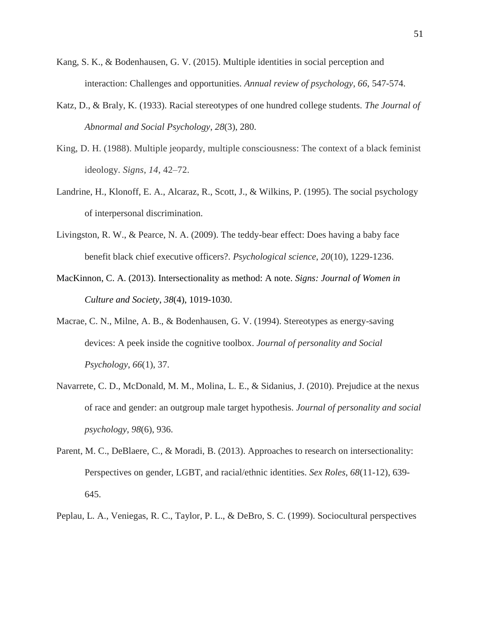- Kang, S. K., & Bodenhausen, G. V. (2015). Multiple identities in social perception and interaction: Challenges and opportunities. *Annual review of psychology*, *66*, 547-574.
- Katz, D., & Braly, K. (1933). Racial stereotypes of one hundred college students. *The Journal of Abnormal and Social Psychology*, *28*(3), 280.
- King, D. H. (1988). Multiple jeopardy, multiple consciousness: The context of a black feminist ideology. *Signs*, *14*, 42–72.
- Landrine, H., Klonoff, E. A., Alcaraz, R., Scott, J., & Wilkins, P. (1995). The social psychology of interpersonal discrimination.
- Livingston, R. W., & Pearce, N. A. (2009). The teddy-bear effect: Does having a baby face benefit black chief executive officers?. *Psychological science*, *20*(10), 1229-1236.
- MacKinnon, C. A. (2013). Intersectionality as method: A note. *Signs: Journal of Women in Culture and Society*, *38*(4), 1019-1030.
- Macrae, C. N., Milne, A. B., & Bodenhausen, G. V. (1994). Stereotypes as energy-saving devices: A peek inside the cognitive toolbox. *Journal of personality and Social Psychology*, *66*(1), 37.
- Navarrete, C. D., McDonald, M. M., Molina, L. E., & Sidanius, J. (2010). Prejudice at the nexus of race and gender: an outgroup male target hypothesis. *Journal of personality and social psychology*, *98*(6), 936.
- Parent, M. C., DeBlaere, C., & Moradi, B. (2013). Approaches to research on intersectionality: Perspectives on gender, LGBT, and racial/ethnic identities. *Sex Roles*, *68*(11-12), 639- 645.
- Peplau, L. A., Veniegas, R. C., Taylor, P. L., & DeBro, S. C. (1999). Sociocultural perspectives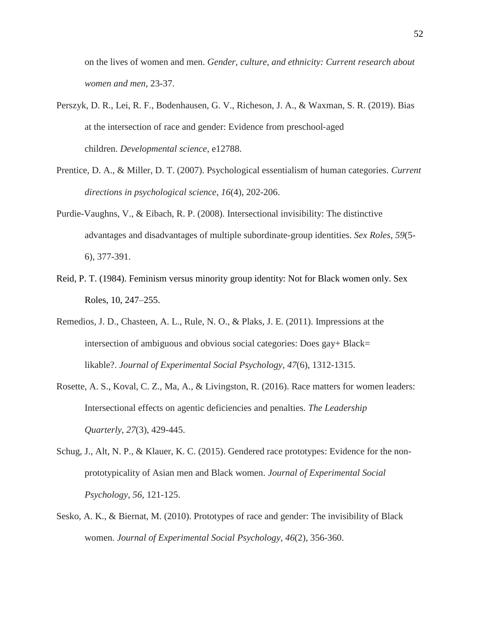on the lives of women and men. *Gender, culture, and ethnicity: Current research about women and men*, 23-37.

- Perszyk, D. R., Lei, R. F., Bodenhausen, G. V., Richeson, J. A., & Waxman, S. R. (2019). Bias at the intersection of race and gender: Evidence from preschool‐aged children. *Developmental science*, e12788.
- Prentice, D. A., & Miller, D. T. (2007). Psychological essentialism of human categories. *Current directions in psychological science*, *16*(4), 202-206.
- Purdie-Vaughns, V., & Eibach, R. P. (2008). Intersectional invisibility: The distinctive advantages and disadvantages of multiple subordinate-group identities. *Sex Roles*, *59*(5- 6), 377-391.
- Reid, P. T. (1984). Feminism versus minority group identity: Not for Black women only. Sex Roles, 10, 247–255.
- Remedios, J. D., Chasteen, A. L., Rule, N. O., & Plaks, J. E. (2011). Impressions at the intersection of ambiguous and obvious social categories: Does gay+ Black= likable?. *Journal of Experimental Social Psychology*, *47*(6), 1312-1315.
- Rosette, A. S., Koval, C. Z., Ma, A., & Livingston, R. (2016). Race matters for women leaders: Intersectional effects on agentic deficiencies and penalties. *The Leadership Quarterly*, *27*(3), 429-445.
- Schug, J., Alt, N. P., & Klauer, K. C. (2015). Gendered race prototypes: Evidence for the nonprototypicality of Asian men and Black women. *Journal of Experimental Social Psychology*, *56*, 121-125.
- Sesko, A. K., & Biernat, M. (2010). Prototypes of race and gender: The invisibility of Black women. *Journal of Experimental Social Psychology*, *46*(2), 356-360.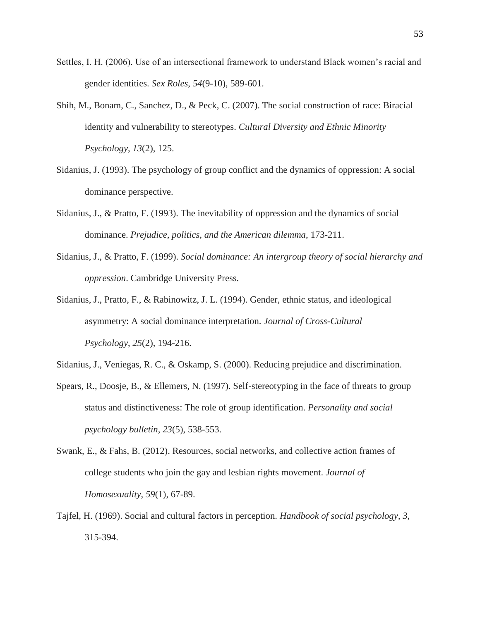- Settles, I. H. (2006). Use of an intersectional framework to understand Black women's racial and gender identities. *Sex Roles*, *54*(9-10), 589-601.
- Shih, M., Bonam, C., Sanchez, D., & Peck, C. (2007). The social construction of race: Biracial identity and vulnerability to stereotypes. *Cultural Diversity and Ethnic Minority Psychology*, *13*(2), 125.
- Sidanius, J. (1993). The psychology of group conflict and the dynamics of oppression: A social dominance perspective.
- Sidanius, J., & Pratto, F. (1993). The inevitability of oppression and the dynamics of social dominance. *Prejudice, politics, and the American dilemma*, 173-211.
- Sidanius, J., & Pratto, F. (1999). *Social dominance: An intergroup theory of social hierarchy and oppression*. Cambridge University Press.
- Sidanius, J., Pratto, F., & Rabinowitz, J. L. (1994). Gender, ethnic status, and ideological asymmetry: A social dominance interpretation. *Journal of Cross-Cultural Psychology*, *25*(2), 194-216.
- Sidanius, J., Veniegas, R. C., & Oskamp, S. (2000). Reducing prejudice and discrimination.
- Spears, R., Doosje, B., & Ellemers, N. (1997). Self-stereotyping in the face of threats to group status and distinctiveness: The role of group identification. *Personality and social psychology bulletin*, *23*(5), 538-553.
- Swank, E., & Fahs, B. (2012). Resources, social networks, and collective action frames of college students who join the gay and lesbian rights movement. *Journal of Homosexuality*, *59*(1), 67-89.
- Tajfel, H. (1969). Social and cultural factors in perception. *Handbook of social psychology*, *3*, 315-394.